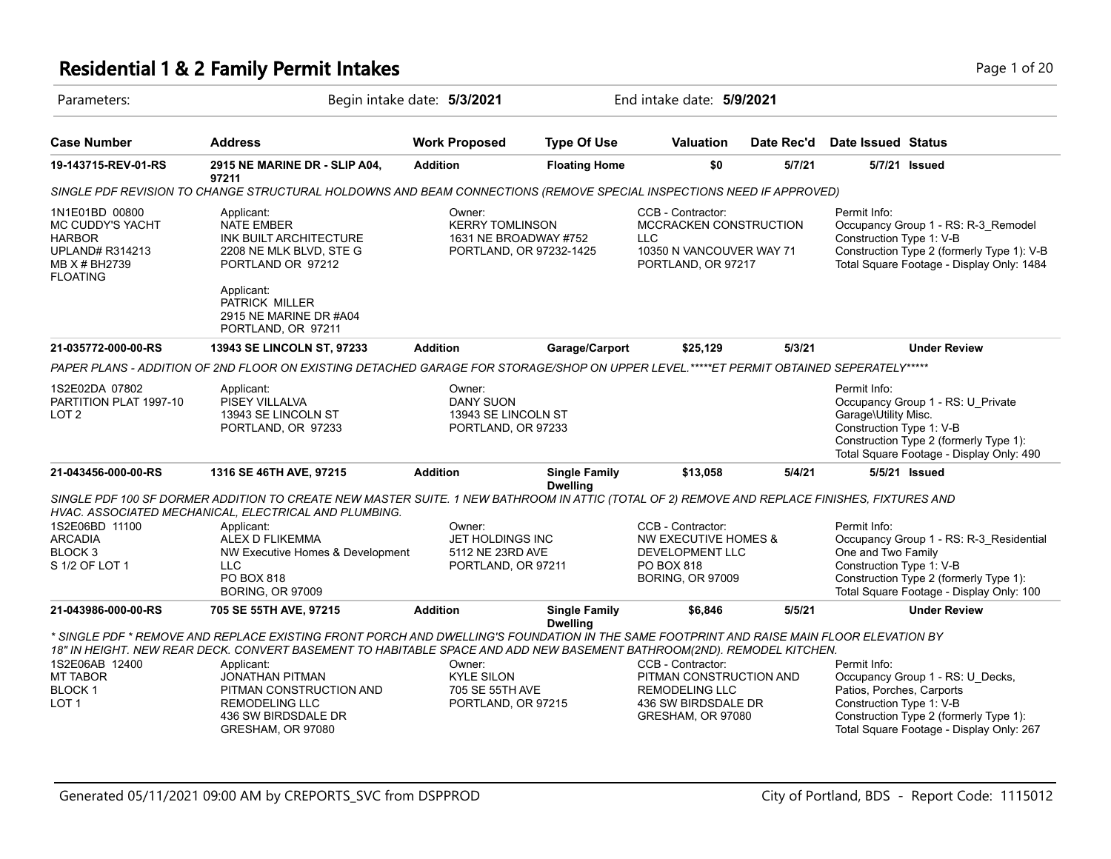## **Residential 1 & 2 Family Permit Intakes Page 1 of 20 and 20 and 20 and 20 and 20 and 20 and 20 and 20 and 20 and 20 and 20 and 20 and 20 and 20 and 20 and 20 and 20 and 20 and 20 and 20 and 20 and 20 and 20 and 20 and 2**

| Parameters:                                                                                                       |                                                                                                                                                                                                                                                                                                                                                                                                            | Begin intake date: 5/3/2021                                                          |                      | End intake date: 5/9/2021                                                                                               |            |                                                                                                                                                                                                 |
|-------------------------------------------------------------------------------------------------------------------|------------------------------------------------------------------------------------------------------------------------------------------------------------------------------------------------------------------------------------------------------------------------------------------------------------------------------------------------------------------------------------------------------------|--------------------------------------------------------------------------------------|----------------------|-------------------------------------------------------------------------------------------------------------------------|------------|-------------------------------------------------------------------------------------------------------------------------------------------------------------------------------------------------|
| <b>Case Number</b>                                                                                                | <b>Address</b>                                                                                                                                                                                                                                                                                                                                                                                             | <b>Work Proposed</b>                                                                 | <b>Type Of Use</b>   | <b>Valuation</b>                                                                                                        | Date Rec'd | <b>Date Issued Status</b>                                                                                                                                                                       |
| 19-143715-REV-01-RS                                                                                               | 2915 NE MARINE DR - SLIP A04,<br>97211                                                                                                                                                                                                                                                                                                                                                                     | <b>Addition</b>                                                                      | <b>Floating Home</b> | \$0                                                                                                                     | 5/7/21     | 5/7/21 Issued                                                                                                                                                                                   |
|                                                                                                                   | SINGLE PDF REVISION TO CHANGE STRUCTURAL HOLDOWNS AND BEAM CONNECTIONS (REMOVE SPECIAL INSPECTIONS NEED IF APPROVED)                                                                                                                                                                                                                                                                                       |                                                                                      |                      |                                                                                                                         |            |                                                                                                                                                                                                 |
| 1N1E01BD 00800<br>MC CUDDY'S YACHT<br><b>HARBOR</b><br><b>UPLAND# R314213</b><br>MB X # BH2739<br><b>FLOATING</b> | Applicant:<br><b>NATE EMBER</b><br>INK BUILT ARCHITECTURE<br>2208 NE MLK BLVD, STE G<br>PORTLAND OR 97212                                                                                                                                                                                                                                                                                                  | Owner:<br><b>KERRY TOMLINSON</b><br>1631 NE BROADWAY #752<br>PORTLAND, OR 97232-1425 |                      | CCB - Contractor:<br>MCCRACKEN CONSTRUCTION<br>LLC<br>10350 N VANCOUVER WAY 71<br>PORTLAND, OR 97217                    |            | Permit Info:<br>Occupancy Group 1 - RS: R-3_Remodel<br>Construction Type 1: V-B<br>Construction Type 2 (formerly Type 1): V-B<br>Total Square Footage - Display Only: 1484                      |
|                                                                                                                   | Applicant:<br>PATRICK MILLER<br>2915 NE MARINE DR #A04<br>PORTLAND, OR 97211                                                                                                                                                                                                                                                                                                                               |                                                                                      |                      |                                                                                                                         |            |                                                                                                                                                                                                 |
| 21-035772-000-00-RS                                                                                               | <b>13943 SE LINCOLN ST, 97233</b>                                                                                                                                                                                                                                                                                                                                                                          | <b>Addition</b>                                                                      | Garage/Carport       | \$25,129                                                                                                                | 5/3/21     | <b>Under Review</b>                                                                                                                                                                             |
|                                                                                                                   | PAPER PLANS - ADDITION OF 2ND FLOOR ON EXISTING DETACHED GARAGE FOR STORAGE/SHOP ON UPPER LEVEL.*****ET PERMIT OBTAINED SEPERATELY*****                                                                                                                                                                                                                                                                    |                                                                                      |                      |                                                                                                                         |            |                                                                                                                                                                                                 |
| 1S2E02DA 07802<br>PARTITION PLAT 1997-10<br>LOT 2                                                                 | Applicant:<br>PISEY VILLALVA<br>13943 SE LINCOLN ST<br>PORTLAND, OR 97233                                                                                                                                                                                                                                                                                                                                  | Owner:<br><b>DANY SUON</b><br>13943 SE LINCOLN ST<br>PORTLAND, OR 97233              |                      |                                                                                                                         |            | Permit Info:<br>Occupancy Group 1 - RS: U_Private<br>Garage\Utility Misc.<br>Construction Type 1: V-B<br>Construction Type 2 (formerly Type 1):<br>Total Square Footage - Display Only: 490     |
| 21-043456-000-00-RS                                                                                               | 1316 SE 46TH AVE, 97215                                                                                                                                                                                                                                                                                                                                                                                    | <b>Addition</b>                                                                      | <b>Single Family</b> | \$13,058                                                                                                                | 5/4/21     | 5/5/21 Issued                                                                                                                                                                                   |
| 1S2E06BD 11100<br><b>ARCADIA</b><br>BLOCK <sub>3</sub><br>S 1/2 OF LOT 1                                          | SINGLE PDF 100 SF DORMER ADDITION TO CREATE NEW MASTER SUITE. 1 NEW BATHROOM IN ATTIC (TOTAL OF 2) REMOVE AND REPLACE FINISHES, FIXTURES AND<br>HVAC. ASSOCIATED MECHANICAL, ELECTRICAL AND PLUMBING.<br>Applicant:<br>ALEX D FLIKEMMA<br>NW Executive Homes & Development<br><b>LLC</b><br>PO BOX 818<br><b>BORING, OR 97009</b>                                                                          | Owner:<br><b>JET HOLDINGS INC</b><br>5112 NE 23RD AVE<br>PORTLAND, OR 97211          | <b>Dwelling</b>      | CCB - Contractor:<br><b>NW EXECUTIVE HOMES &amp;</b><br><b>DEVELOPMENT LLC</b><br>PO BOX 818<br><b>BORING, OR 97009</b> |            | Permit Info:<br>Occupancy Group 1 - RS: R-3_Residential<br>One and Two Family<br>Construction Type 1: V-B<br>Construction Type 2 (formerly Type 1):<br>Total Square Footage - Display Only: 100 |
| 21-043986-000-00-RS                                                                                               | 705 SE 55TH AVE, 97215                                                                                                                                                                                                                                                                                                                                                                                     | <b>Addition</b>                                                                      | <b>Single Family</b> | \$6,846                                                                                                                 | 5/5/21     | <b>Under Review</b>                                                                                                                                                                             |
| 1S2E06AB 12400<br><b>MT TABOR</b><br><b>BLOCK1</b><br>LOT 1                                                       | * SINGLE PDF * REMOVE AND REPLACE EXISTING FRONT PORCH AND DWELLING'S FOUNDATION IN THE SAME FOOTPRINT AND RAISE MAIN FLOOR ELEVATION BY<br>18" IN HEIGHT. NEW REAR DECK. CONVERT BASEMENT TO HABITABLE SPACE AND ADD NEW BASEMENT BATHROOM(2ND). REMODEL KITCHEN.<br>Applicant:<br><b>JONATHAN PITMAN</b><br>PITMAN CONSTRUCTION AND<br><b>REMODELING LLC</b><br>436 SW BIRDSDALE DR<br>GRESHAM, OR 97080 | Owner:<br><b>KYLE SILON</b><br>705 SE 55TH AVE<br>PORTLAND, OR 97215                 | <b>Dwelling</b>      | CCB - Contractor:<br>PITMAN CONSTRUCTION AND<br>REMODELING LLC<br>436 SW BIRDSDALE DR<br>GRESHAM, OR 97080              |            | Permit Info:<br>Occupancy Group 1 - RS: U_Decks,<br>Patios, Porches, Carports<br>Construction Type 1: V-B<br>Construction Type 2 (formerly Type 1):<br>Total Square Footage - Display Only: 267 |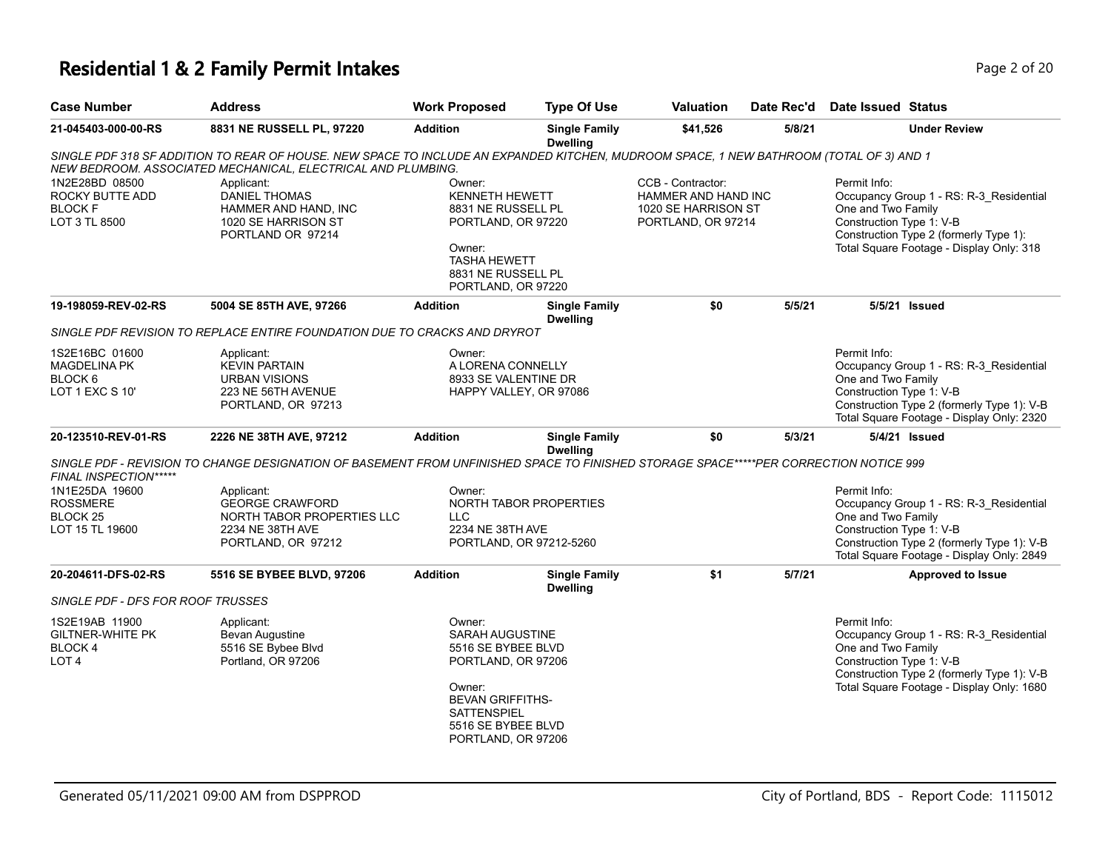## **Residential 1 & 2 Family Permit Intakes Page 1 0 Amin's Company Page 2 of 20**

|  | Page 2 o |  |
|--|----------|--|
|  |          |  |

| <b>Case Number</b>                                                             | <b>Address</b>                                                                                                                                                                                          | <b>Work Proposed</b>                                                                                                                                                         | <b>Type Of Use</b>                                | Valuation                                                                             | Date Rec'd | <b>Date Issued Status</b>                                                                                                                                                                            |
|--------------------------------------------------------------------------------|---------------------------------------------------------------------------------------------------------------------------------------------------------------------------------------------------------|------------------------------------------------------------------------------------------------------------------------------------------------------------------------------|---------------------------------------------------|---------------------------------------------------------------------------------------|------------|------------------------------------------------------------------------------------------------------------------------------------------------------------------------------------------------------|
| 21-045403-000-00-RS                                                            | 8831 NE RUSSELL PL, 97220                                                                                                                                                                               | <b>Addition</b>                                                                                                                                                              | <b>Single Family</b><br><b>Dwelling</b>           | \$41,526                                                                              | 5/8/21     | <b>Under Review</b>                                                                                                                                                                                  |
|                                                                                | SINGLE PDF 318 SF ADDITION TO REAR OF HOUSE. NEW SPACE TO INCLUDE AN EXPANDED KITCHEN, MUDROOM SPACE, 1 NEW BATHROOM (TOTAL OF 3) AND 1<br>NEW BEDROOM. ASSOCIATED MECHANICAL, ELECTRICAL AND PLUMBING. |                                                                                                                                                                              |                                                   |                                                                                       |            |                                                                                                                                                                                                      |
| 1N2E28BD 08500<br>ROCKY BUTTE ADD<br><b>BLOCK F</b><br>LOT 3 TL 8500           | Applicant:<br><b>DANIEL THOMAS</b><br>HAMMER AND HAND, INC<br>1020 SE HARRISON ST<br>PORTLAND OR 97214                                                                                                  | Owner:<br>KENNETH HEWETT<br>8831 NE RUSSELL PL<br>PORTLAND, OR 97220<br>Owner:<br><b>TASHA HEWETT</b><br>8831 NE RUSSELL PL<br>PORTLAND, OR 97220                            |                                                   | CCB - Contractor:<br>HAMMER AND HAND INC<br>1020 SE HARRISON ST<br>PORTLAND, OR 97214 |            | Permit Info:<br>Occupancy Group 1 - RS: R-3_Residential<br>One and Two Family<br>Construction Type 1: V-B<br>Construction Type 2 (formerly Type 1):<br>Total Square Footage - Display Only: 318      |
| 19-198059-REV-02-RS                                                            | 5004 SE 85TH AVE, 97266                                                                                                                                                                                 | <b>Addition</b>                                                                                                                                                              | <b>Single Family</b><br><b>Dwelling</b>           | \$0                                                                                   | 5/5/21     | 5/5/21 Issued                                                                                                                                                                                        |
|                                                                                | SINGLE PDF REVISION TO REPLACE ENTIRE FOUNDATION DUE TO CRACKS AND DRYROT                                                                                                                               |                                                                                                                                                                              |                                                   |                                                                                       |            |                                                                                                                                                                                                      |
| 1S2E16BC 01600<br><b>MAGDELINA PK</b><br>BLOCK <sub>6</sub><br>LOT 1 EXC S 10' | Applicant:<br><b>KEVIN PARTAIN</b><br><b>URBAN VISIONS</b><br>223 NE 56TH AVENUE<br>PORTLAND, OR 97213                                                                                                  | Owner:<br>A LORENA CONNELLY<br>8933 SE VALENTINE DR<br>HAPPY VALLEY, OR 97086                                                                                                |                                                   |                                                                                       |            | Permit Info:<br>Occupancy Group 1 - RS: R-3_Residential<br>One and Two Family<br>Construction Type 1: V-B<br>Construction Type 2 (formerly Type 1): V-B<br>Total Square Footage - Display Only: 2320 |
| 20-123510-REV-01-RS                                                            | 2226 NE 38TH AVE, 97212                                                                                                                                                                                 | <b>Addition</b>                                                                                                                                                              | <b>Single Family</b><br><b>Dwelling</b>           | \$0                                                                                   | 5/3/21     | 5/4/21 Issued                                                                                                                                                                                        |
| FINAL INSPECTION*****                                                          | SINGLE PDF - REVISION TO CHANGE DESIGNATION OF BASEMENT FROM UNFINISHED SPACE TO FINISHED STORAGE SPACE*****PER CORRECTION NOTICE 999                                                                   |                                                                                                                                                                              |                                                   |                                                                                       |            |                                                                                                                                                                                                      |
| 1N1E25DA 19600<br><b>ROSSMERE</b><br>BLOCK 25<br>LOT 15 TL 19600               | Applicant:<br><b>GEORGE CRAWFORD</b><br>NORTH TABOR PROPERTIES LLC<br>2234 NE 38TH AVE<br>PORTLAND, OR 97212                                                                                            | Owner:<br><b>LLC</b><br>2234 NE 38TH AVE                                                                                                                                     | NORTH TABOR PROPERTIES<br>PORTLAND, OR 97212-5260 |                                                                                       |            | Permit Info:<br>Occupancy Group 1 - RS: R-3_Residential<br>One and Two Family<br>Construction Type 1: V-B<br>Construction Type 2 (formerly Type 1): V-B<br>Total Square Footage - Display Only: 2849 |
| 20-204611-DFS-02-RS                                                            | 5516 SE BYBEE BLVD, 97206                                                                                                                                                                               | <b>Addition</b>                                                                                                                                                              | <b>Single Family</b><br><b>Dwelling</b>           | \$1                                                                                   | 5/7/21     | Approved to Issue                                                                                                                                                                                    |
| SINGLE PDF - DFS FOR ROOF TRUSSES                                              |                                                                                                                                                                                                         |                                                                                                                                                                              |                                                   |                                                                                       |            |                                                                                                                                                                                                      |
| 1S2E19AB 11900<br><b>GILTNER-WHITE PK</b><br>BLOCK 4<br>LOT <sub>4</sub>       | Applicant:<br><b>Bevan Augustine</b><br>5516 SE Bybee Blvd<br>Portland, OR 97206                                                                                                                        | Owner:<br><b>SARAH AUGUSTINE</b><br>5516 SE BYBEE BLVD<br>PORTLAND, OR 97206<br>Owner:<br><b>BEVAN GRIFFITHS-</b><br>SATTENSPIEL<br>5516 SE BYBEE BLVD<br>PORTLAND, OR 97206 |                                                   |                                                                                       |            | Permit Info:<br>Occupancy Group 1 - RS: R-3_Residential<br>One and Two Family<br>Construction Type 1: V-B<br>Construction Type 2 (formerly Type 1): V-B<br>Total Square Footage - Display Only: 1680 |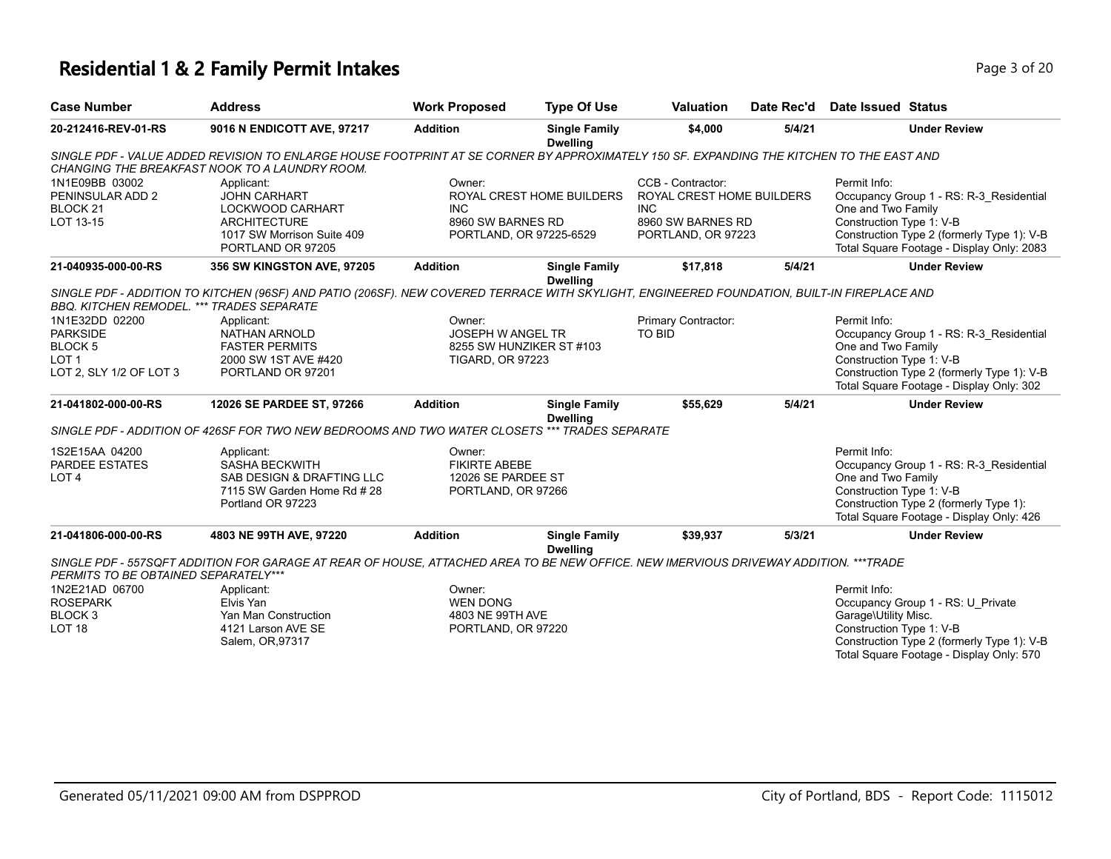#### **Residential 1 & 2 Family Permit Intakes Page 1 of 20 and 20 and 20 and 20 and 20 and 20 and 20 and 20 and 20 and 20 and 20 and 20 and 20 and 20 and 20 and 20 and 20 and 20 and 20 and 20 and 20 and 20 and 20 and 20 and 2**

| <b>Case Number</b>  | Address                                                                                                                                 | <b>Work Proposed</b> | <b>Type Of Use</b>                      | Valuation | Date Rec'd | Date Issued Status  |  |
|---------------------|-----------------------------------------------------------------------------------------------------------------------------------------|----------------------|-----------------------------------------|-----------|------------|---------------------|--|
| 20-212416-REV-01-RS | 9016 N ENDICOTT AVE, 97217                                                                                                              | <b>Addition</b>      | <b>Single Family</b><br><b>Dwelling</b> | \$4,000   | 5/4/21     | <b>Jnder Review</b> |  |
|                     | SINGLE PDE - VALUE ADDED REVISION TO ENLARGE HOUSE EOOTPRINT AT SE CORNER BY APPROXIMATELY 150 SELEXPANDING THE KITCHEN TO THE EAST AND |                      |                                         |           |            |                     |  |

|                                                                                                        |                                                                                                                                                                                            |                                                                            | <b>Dwelling</b>                                      |                                                                                                         |        |                                                                                                                                                                                                      |
|--------------------------------------------------------------------------------------------------------|--------------------------------------------------------------------------------------------------------------------------------------------------------------------------------------------|----------------------------------------------------------------------------|------------------------------------------------------|---------------------------------------------------------------------------------------------------------|--------|------------------------------------------------------------------------------------------------------------------------------------------------------------------------------------------------------|
|                                                                                                        | SINGLE PDF - VALUE ADDED REVISION TO ENLARGE HOUSE FOOTPRINT AT SE CORNER BY APPROXIMATELY 150 SF. EXPANDING THE KITCHEN TO THE EAST AND<br>CHANGING THE BREAKFAST NOOK TO A LAUNDRY ROOM. |                                                                            |                                                      |                                                                                                         |        |                                                                                                                                                                                                      |
| 1N1E09BB 03002<br>PENINSULAR ADD 2<br>BLOCK <sub>21</sub><br>LOT 13-15                                 | Applicant:<br><b>JOHN CARHART</b><br><b>LOCKWOOD CARHART</b><br><b>ARCHITECTURE</b><br>1017 SW Morrison Suite 409<br>PORTLAND OR 97205                                                     | Owner:<br><b>INC</b><br>8960 SW BARNES RD                                  | ROYAL CREST HOME BUILDERS<br>PORTLAND, OR 97225-6529 | CCB - Contractor:<br>ROYAL CREST HOME BUILDERS<br><b>INC</b><br>8960 SW BARNES RD<br>PORTLAND, OR 97223 |        | Permit Info:<br>Occupancy Group 1 - RS: R-3 Residential<br>One and Two Family<br>Construction Type 1: V-B<br>Construction Type 2 (formerly Type 1): V-B<br>Total Square Footage - Display Only: 2083 |
| 21-040935-000-00-RS                                                                                    | 356 SW KINGSTON AVE, 97205                                                                                                                                                                 | <b>Addition</b>                                                            | <b>Single Family</b>                                 | \$17.818                                                                                                | 5/4/21 | <b>Under Review</b>                                                                                                                                                                                  |
| <b>BBO. KITCHEN REMODEL. *** TRADES SEPARATE</b>                                                       | SINGLE PDF - ADDITION TO KITCHEN (96SF) AND PATIO (206SF). NEW COVERED TERRACE WITH SKYLIGHT, ENGINEERED FOUNDATION, BUILT-IN FIREPLACE AND                                                |                                                                            | <b>Dwelling</b>                                      |                                                                                                         |        |                                                                                                                                                                                                      |
| 1N1E32DD 02200<br><b>PARKSIDE</b><br>BLOCK <sub>5</sub><br>LOT <sub>1</sub><br>LOT 2, SLY 1/2 OF LOT 3 | Applicant:<br>NATHAN ARNOLD<br><b>FASTER PERMITS</b><br>2000 SW 1ST AVE #420<br>PORTLAND OR 97201                                                                                          | Owner:<br><b>JOSEPH W ANGEL TR</b><br><b>TIGARD, OR 97223</b>              | 8255 SW HUNZIKER ST #103                             | Primary Contractor:<br>TO BID                                                                           |        | Permit Info:<br>Occupancy Group 1 - RS: R-3 Residential<br>One and Two Family<br>Construction Type 1: V-B<br>Construction Type 2 (formerly Type 1): V-B<br>Total Square Footage - Display Only: 302  |
| 21-041802-000-00-RS                                                                                    | 12026 SE PARDEE ST, 97266                                                                                                                                                                  | <b>Addition</b>                                                            | <b>Single Family</b><br><b>Dwelling</b>              | \$55,629                                                                                                | 5/4/21 | <b>Under Review</b>                                                                                                                                                                                  |
|                                                                                                        | SINGLE PDF - ADDITION OF 426SF FOR TWO NEW BEDROOMS AND TWO WATER CLOSETS *** TRADES SEPARATE                                                                                              |                                                                            |                                                      |                                                                                                         |        |                                                                                                                                                                                                      |
| 1S2E15AA 04200<br>PARDEE ESTATES<br>LOT <sub>4</sub>                                                   | Applicant:<br><b>SASHA BECKWITH</b><br>SAB DESIGN & DRAFTING LLC<br>7115 SW Garden Home Rd # 28<br>Portland OR 97223                                                                       | Owner:<br><b>FIKIRTE ABEBE</b><br>12026 SE PARDEE ST<br>PORTLAND, OR 97266 |                                                      |                                                                                                         |        | Permit Info:<br>Occupancy Group 1 - RS: R-3 Residential<br>One and Two Family<br>Construction Type 1: V-B<br>Construction Type 2 (formerly Type 1):<br>Total Square Footage - Display Only: 426      |
| 21-041806-000-00-RS                                                                                    | 4803 NE 99TH AVE, 97220                                                                                                                                                                    | <b>Addition</b>                                                            | <b>Single Family</b><br><b>Dwelling</b>              | \$39,937                                                                                                | 5/3/21 | <b>Under Review</b>                                                                                                                                                                                  |
| PERMITS TO BE OBTAINED SEPARATELY***                                                                   | SINGLE PDF - 557SQFT ADDITION FOR GARAGE AT REAR OF HOUSE, ATTACHED AREA TO BE NEW OFFICE. NEW IMERVIOUS DRIVEWAY ADDITION. ***TRADE                                                       |                                                                            |                                                      |                                                                                                         |        |                                                                                                                                                                                                      |
| 1N2E21AD 06700                                                                                         | Applicant:                                                                                                                                                                                 | Owner:                                                                     |                                                      |                                                                                                         |        | Permit Info:                                                                                                                                                                                         |
| <b>ROSEPARK</b>                                                                                        | Elvis Yan                                                                                                                                                                                  | <b>WEN DONG</b>                                                            |                                                      |                                                                                                         |        | Occupancy Group 1 - RS: U Private                                                                                                                                                                    |
| BLOCK <sub>3</sub>                                                                                     | Yan Man Construction                                                                                                                                                                       | 4803 NE 99TH AVE                                                           |                                                      |                                                                                                         |        | Garage\Utility Misc.                                                                                                                                                                                 |
| LOT <sub>18</sub>                                                                                      | 4121 Larson AVE SE                                                                                                                                                                         | PORTLAND, OR 97220                                                         |                                                      |                                                                                                         |        | Construction Type 1: V-B                                                                                                                                                                             |

Salem, OR,97317

Construction Type 2 (formerly Type 1): V-B Total Square Footage - Display Only: 570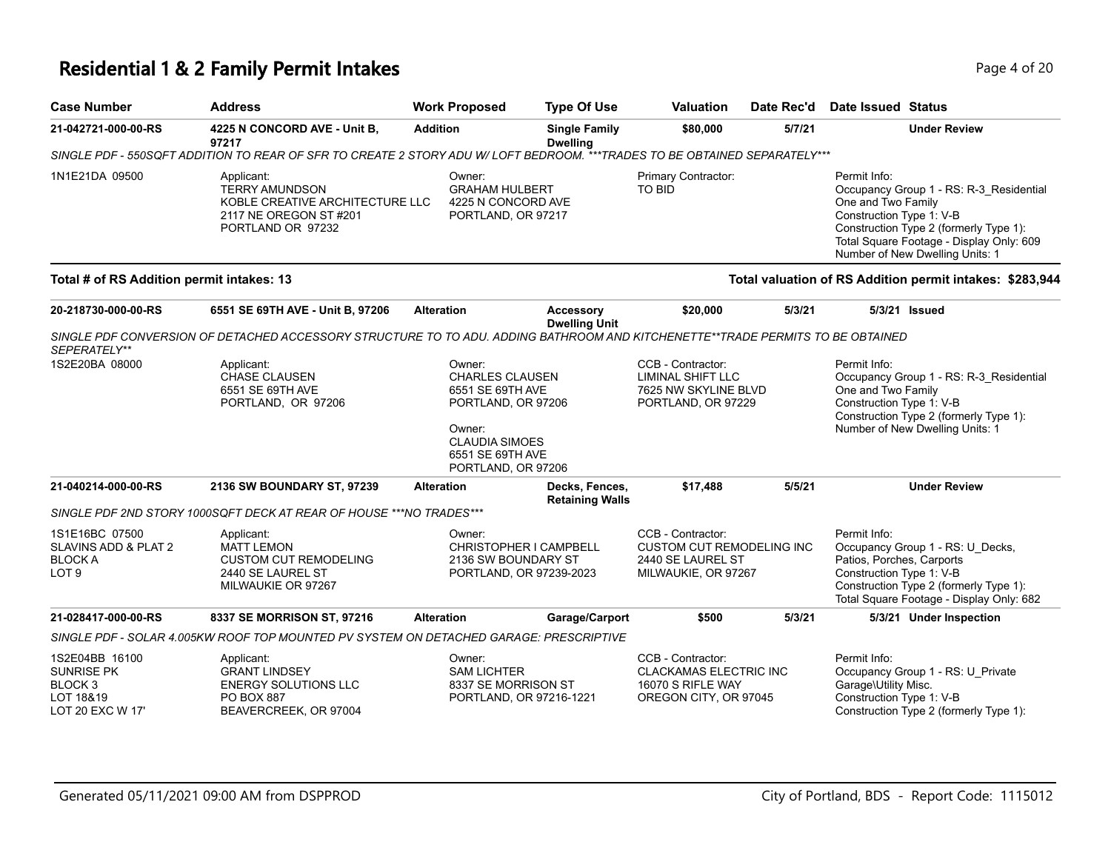## **Residential 1 & 2 Family Permit Intakes Page 1 of 20 and 20 and 20 and 20 and 20 and 20 and 20 and 20 and 20 and 20 and 20 and 20 and 20 and 20 and 20 and 20 and 20 and 20 and 20 and 20 and 20 and 20 and 20 and 20 and 2**

| <b>Address</b>                                                                                             | <b>Work Proposed</b>                      | <b>Type Of Use</b>                                                                                      | <b>Valuation</b>                                                                                                                                                                                                                                                                                             | Date Rec'd             | Date Issued Status                                                                                                                                                                                                                                                                                                                                                   |
|------------------------------------------------------------------------------------------------------------|-------------------------------------------|---------------------------------------------------------------------------------------------------------|--------------------------------------------------------------------------------------------------------------------------------------------------------------------------------------------------------------------------------------------------------------------------------------------------------------|------------------------|----------------------------------------------------------------------------------------------------------------------------------------------------------------------------------------------------------------------------------------------------------------------------------------------------------------------------------------------------------------------|
| 4225 N CONCORD AVE - Unit B.<br>97217                                                                      | <b>Addition</b>                           | <b>Single Family</b><br><b>Dwelling</b>                                                                 | \$80,000                                                                                                                                                                                                                                                                                                     | 5/7/21                 | <b>Under Review</b>                                                                                                                                                                                                                                                                                                                                                  |
|                                                                                                            |                                           |                                                                                                         |                                                                                                                                                                                                                                                                                                              |                        |                                                                                                                                                                                                                                                                                                                                                                      |
| Applicant:<br><b>TERRY AMUNDSON</b><br>2117 NE OREGON ST #201<br>PORTLAND OR 97232                         | Owner:                                    |                                                                                                         | Primary Contractor:<br><b>TO BID</b>                                                                                                                                                                                                                                                                         |                        | Permit Info:<br>Occupancy Group 1 - RS: R-3 Residential<br>One and Two Family<br>Construction Type 1: V-B<br>Construction Type 2 (formerly Type 1):<br>Total Square Footage - Display Only: 609<br>Number of New Dwelling Units: 1                                                                                                                                   |
|                                                                                                            |                                           |                                                                                                         |                                                                                                                                                                                                                                                                                                              |                        | Total valuation of RS Addition permit intakes: \$283,944                                                                                                                                                                                                                                                                                                             |
| 6551 SE 69TH AVE - Unit B, 97206                                                                           | <b>Alteration</b>                         | <b>Accessory</b>                                                                                        | \$20,000                                                                                                                                                                                                                                                                                                     | 5/3/21                 | 5/3/21 Issued                                                                                                                                                                                                                                                                                                                                                        |
|                                                                                                            |                                           |                                                                                                         |                                                                                                                                                                                                                                                                                                              |                        |                                                                                                                                                                                                                                                                                                                                                                      |
| Applicant:<br><b>CHASE CLAUSEN</b><br>6551 SE 69TH AVE<br>PORTLAND, OR 97206                               | Owner:<br>Owner:                          |                                                                                                         | CCB - Contractor:<br><b>LIMINAL SHIFT LLC</b>                                                                                                                                                                                                                                                                |                        | Permit Info:<br>Occupancy Group 1 - RS: R-3_Residential<br>One and Two Family<br>Construction Type 1: V-B<br>Construction Type 2 (formerly Type 1):<br>Number of New Dwelling Units: 1                                                                                                                                                                               |
| 2136 SW BOUNDARY ST, 97239                                                                                 | <b>Alteration</b>                         | Decks, Fences,                                                                                          | \$17,488                                                                                                                                                                                                                                                                                                     | 5/5/21                 | <b>Under Review</b>                                                                                                                                                                                                                                                                                                                                                  |
|                                                                                                            |                                           |                                                                                                         |                                                                                                                                                                                                                                                                                                              |                        |                                                                                                                                                                                                                                                                                                                                                                      |
| Applicant:<br><b>MATT LEMON</b><br><b>CUSTOM CUT REMODELING</b><br>2440 SE LAUREL ST<br>MILWAUKIE OR 97267 | Owner:                                    |                                                                                                         | CCB - Contractor:<br>2440 SE LAUREL ST                                                                                                                                                                                                                                                                       |                        | Permit Info:<br>Occupancy Group 1 - RS: U_Decks,<br>Patios, Porches, Carports<br>Construction Type 1: V-B<br>Construction Type 2 (formerly Type 1):<br>Total Square Footage - Display Only: 682                                                                                                                                                                      |
|                                                                                                            |                                           |                                                                                                         |                                                                                                                                                                                                                                                                                                              |                        |                                                                                                                                                                                                                                                                                                                                                                      |
|                                                                                                            | Total # of RS Addition permit intakes: 13 | KOBLE CREATIVE ARCHITECTURE LLC<br>SINGLE PDF 2ND STORY 1000SQFT DECK AT REAR OF HOUSE *** NO TRADES*** | <b>GRAHAM HULBERT</b><br>4225 N CONCORD AVE<br>PORTLAND, OR 97217<br><b>Dwelling Unit</b><br><b>CHARLES CLAUSEN</b><br>6551 SE 69TH AVE<br>PORTLAND, OR 97206<br><b>CLAUDIA SIMOES</b><br>6551 SE 69TH AVE<br>PORTLAND, OR 97206<br>CHRISTOPHER I CAMPBELL<br>2136 SW BOUNDARY ST<br>PORTLAND, OR 97239-2023 | <b>Retaining Walls</b> | SINGLE PDF - 550SQFT ADDITION TO REAR OF SFR TO CREATE 2 STORY ADU W/LOFT BEDROOM. ***TRADES TO BE OBTAINED SEPARATELY***<br>SINGLE PDF CONVERSION OF DETACHED ACCESSORY STRUCTURE TO TO ADU. ADDING BATHROOM AND KITCHENETTE**TRADE PERMITS TO BE OBTAINED<br>7625 NW SKYLINE BLVD<br>PORTLAND, OR 97229<br><b>CUSTOM CUT REMODELING INC</b><br>MILWAUKIE, OR 97267 |

| 1S2E04BB 16100   | Applicant:            | ::Dwner                 | CCB - Contractor:      | Permit Info:                           |
|------------------|-----------------------|-------------------------|------------------------|----------------------------------------|
| SUNRISE PK       | <b>GRANT LINDSEY</b>  | SAM LICHTER             | CLACKAMAS ELECTRIC INC | Occupancy Group 1 - RS: U Private      |
| BLOCK 3          | ENERGY SOLUTIONS LLC  | 8337 SE MORRISON ST     | 16070 S RIFLE WAY      | Garage\Utility Misc.                   |
| LOT 18&19        | PO BOX 887            | PORTLAND, OR 97216-1221 | OREGON CITY, OR 97045  | Construction Type 1: V-B               |
| LOT 20 EXC W 17' | BEAVERCREEK, OR 97004 |                         |                        | Construction Type 2 (formerly Type 1): |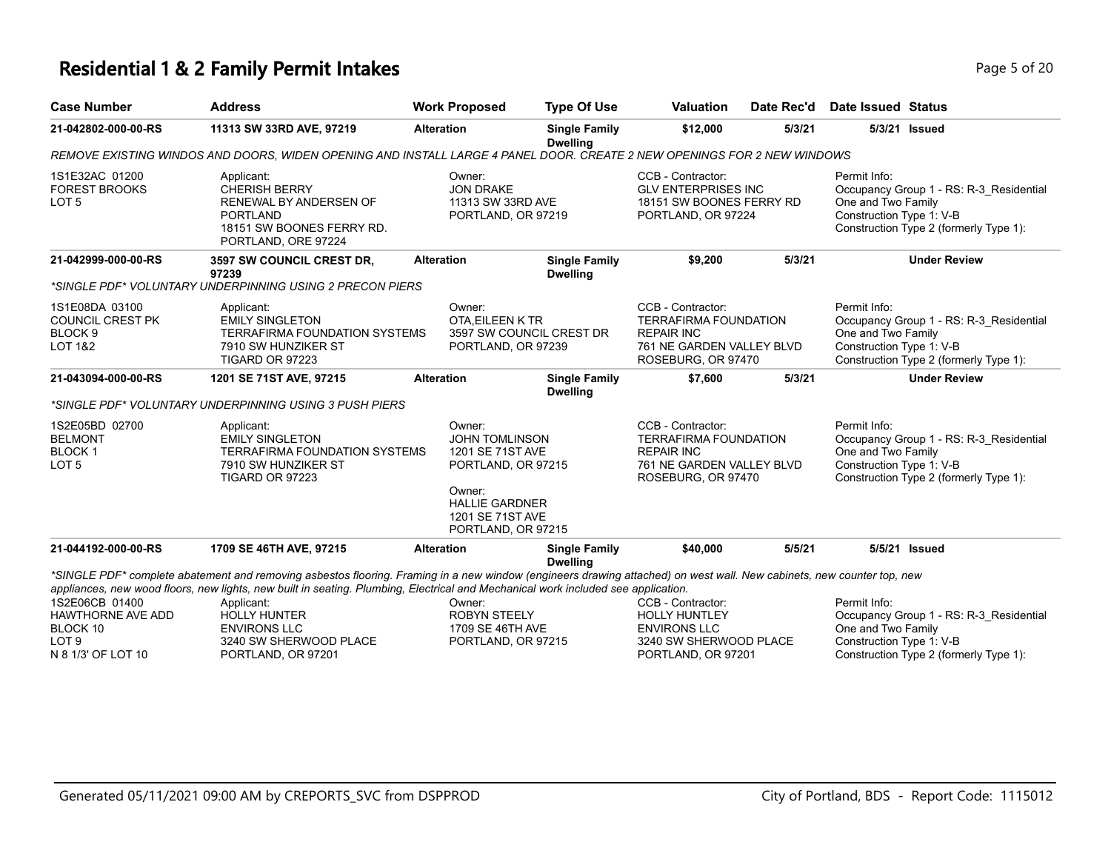#### **Residential 1 & 2 Family Permit Intakes Page 1 and 20 and 20 and 20 and 20 and 20 and 20 and 20 and 20 and 20 and 20 and 20 and 20 and 20 and 20 and 20 and 20 and 20 and 20 and 20 and 20 and 20 and 20 and 20 and 20 and**

| Case Number         | <b>Address</b>                                                                                                          | <b>Work Proposed</b> | Type Of Use                             | <b>Valuation</b>  | Date Rec'd | Date Issued Status |               |
|---------------------|-------------------------------------------------------------------------------------------------------------------------|----------------------|-----------------------------------------|-------------------|------------|--------------------|---------------|
| 21-042802-000-00-RS | 11313 SW 33RD AVE, 97219                                                                                                | <b>Alteration</b>    | <b>Single Family</b><br><b>Dwelling</b> | \$12,000          | 5/3/21     |                    | 5/3/21 Issued |
|                     | REMOVE EXISTING WINDOS AND DOORS. WIDEN OPENING AND INSTALL LARGE 4 PANEL DOOR. CREATE 2 NEW OPENINGS FOR 2 NEW WINDOWS |                      |                                         |                   |            |                    |               |
| 1S1E32AC 01200      | Applicant:                                                                                                              | Owner:               |                                         | CCB - Contractor: |            | Permit Info:       |               |

*REMOVE EXISTING WINDOS AND DOORS, WIDEN OPENING AND INSTALL LARGE 4 PANEL DOOR. CREATE 2 NEW OPENINGS FOR 2 NEW WINDOWS* Occupancy Group 1 - RS: R-3\_Residential One and Two Family Construction Type 1: V-B Construction Type 2 (formerly Type 1): CC<sub>E</sub> GLV ENTERPRISES INC 18151 SW BOONES FERRY RD PORTLAND, OR 97224 Owner: JON DRAKE 11313 SW 33RD AVE PORTLAND, OR 97219 Applicant: CHERISH BERRY RENEWAL BY ANDERSEN OF PORTLAND 18151 SW BOONES FERRY RD. PORTLAND, ORE 97224 1S1E32AC 01200 FOREST BROOKS LOT 5 **21-042999-000-00-RS 3597 SW COUNCIL CREST DR, 97239 Alteration Single Family Dwelling \$9,200 5/3/21 Under Review** *\*SINGLE PDF\* VOLUNTARY UNDERPINNING USING 2 PRECON PIERS* Permit Info: Occupancy Group 1 - RS: R-3\_Residential One and Two Family Construction Type 1: V-B Construction Type 2 (formerly Type 1): CCB - Contractor: TERRAFIRMA FOUNDATION REPAIR INC 761 NE GARDEN VALLEY BLVD ROSEBURG, OR 97470 Owner: OTA,EILEEN K TR 3597 SW COUNCIL CREST DR PORTLAND, OR 97239 Applicant: EMILY SINGLETON TERRAFIRMA FOUNDATION SYSTEMS 7910 SW HUNZIKER ST TIGARD OR 97223 1S1E08DA 03100 COUNCIL CREST PK BLOCK 9 LOT 1&2 **21-043094-000-00-RS 1201 SE 71ST AVE, 97215 Alteration Single Family Dwelling \$7,600 5/3/21 Under Review** *\*SINGLE PDF\* VOLUNTARY UNDERPINNING USING 3 PUSH PIERS* Permit Info: Occupancy Group 1 - RS: R-3\_Residential One and Two Family Construction Type 1: V-B Construction Type 2 (formerly Type 1): CCB - Contractor: TERRAFIRMA FOUNDATION REPAIR INC 761 NE GARDEN VALLEY BLVD ROSEBURG, OR 97470 Owner: JOHN TOMLINSON 1201 SE 71ST AVE PORTLAND, OR 97215 Owner: HALLIE GARDNER 1201 SE 71ST AVE PORTLAND, OR 97215 Applicant: EMILY SINGLETON TERRAFIRMA FOUNDATION SYSTEMS 7910 SW HUNZIKER ST TIGARD OR 97223 1S2E05BD 02700 BELMONT BLOCK 1 LOT 5 **21-044192-000-00-RS 1709 SE 46TH AVE, 97215 Alteration Single Family Dwelling \$40,000 5/5/21 5/5/21 Issued** *\*SINGLE PDF\* complete abatement and removing asbestos flooring. Framing in a new window (engineers drawing attached) on west wall. New cabinets, new counter top, new appliances, new wood floors, new lights, new built in seating. Plumbing, Electrical and Mechanical work included see application.* Permit Info: Occupancy Group 1 - RS: R-3\_Residential One and Two Family Construction Type 1: V-B CCB - Contractor: HOLLY HUNTLEY ENVIRONS LLC 3240 SW SHERWOOD PLACE Owner: ROBYN STEELY 1709 SE 46TH AVE PORTLAND, OR 97215 Applicant: HOLLY HUNTER ENVIRONS LLC 3240 SW SHERWOOD PLACE 1S2E06CB 01400 HAWTHORNE AVE ADD BLOCK 10 LOT 9

PORTLAND, OR 97201

PORTLAND, OR 97201

N 8 1/3' OF LOT 10

Construction Type 2 (formerly Type 1):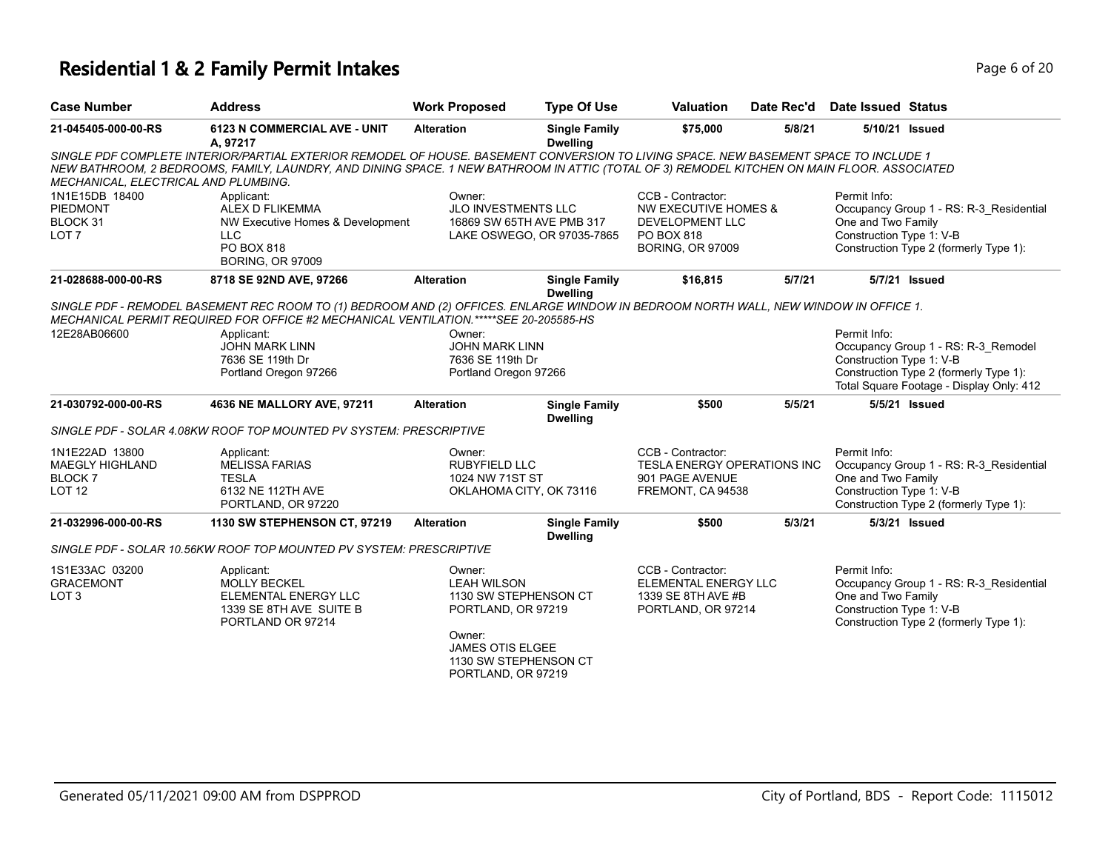# **Residential 1 & 2 Family Permit Intakes Page 6 of 20**

| <b>Case Number</b>                                                         | <b>Address</b>                                                                                                                                                                                                                                                                      | <b>Work Proposed</b>                                                                                                                                            | <b>Type Of Use</b>                      | <b>Valuation</b>                                                                                                        | Date Rec'd | Date Issued Status                                             |                                                                                                                           |
|----------------------------------------------------------------------------|-------------------------------------------------------------------------------------------------------------------------------------------------------------------------------------------------------------------------------------------------------------------------------------|-----------------------------------------------------------------------------------------------------------------------------------------------------------------|-----------------------------------------|-------------------------------------------------------------------------------------------------------------------------|------------|----------------------------------------------------------------|---------------------------------------------------------------------------------------------------------------------------|
| 21-045405-000-00-RS                                                        | 6123 N COMMERCIAL AVE - UNIT<br>A, 97217                                                                                                                                                                                                                                            | <b>Alteration</b>                                                                                                                                               | <b>Single Family</b><br><b>Dwelling</b> | \$75,000                                                                                                                | 5/8/21     |                                                                | 5/10/21 Issued                                                                                                            |
| MECHANICAL, ELECTRICAL AND PLUMBING.                                       | SINGLE PDF COMPLETE INTERIOR/PARTIAL EXTERIOR REMODEL OF HOUSE. BASEMENT CONVERSION TO LIVING SPACE. NEW BASEMENT SPACE TO INCLUDE 1<br>NEW BATHROOM, 2 BEDROOMS, FAMILY, LAUNDRY, AND DINING SPACE. 1 NEW BATHROOM IN ATTIC (TOTAL OF 3) REMODEL KITCHEN ON MAIN FLOOR. ASSOCIATED |                                                                                                                                                                 |                                         |                                                                                                                         |            |                                                                |                                                                                                                           |
| 1N1E15DB 18400<br>PIEDMONT<br>BLOCK 31<br>LOT <sub>7</sub>                 | Applicant:<br>ALEX D FLIKEMMA<br>NW Executive Homes & Development<br><b>LLC</b><br>PO BOX 818<br><b>BORING, OR 97009</b>                                                                                                                                                            | Owner:<br>JLO INVESTMENTS LLC<br>16869 SW 65TH AVE PMB 317<br>LAKE OSWEGO, OR 97035-7865                                                                        |                                         | CCB - Contractor:<br><b>NW EXECUTIVE HOMES &amp;</b><br><b>DEVELOPMENT LLC</b><br>PO BOX 818<br><b>BORING, OR 97009</b> |            | Permit Info:<br>One and Two Family<br>Construction Type 1: V-B | Occupancy Group 1 - RS: R-3_Residential<br>Construction Type 2 (formerly Type 1):                                         |
| 21-028688-000-00-RS                                                        | 8718 SE 92ND AVE, 97266                                                                                                                                                                                                                                                             | <b>Alteration</b>                                                                                                                                               | <b>Single Family</b><br><b>Dwelling</b> | \$16,815                                                                                                                | 5/7/21     |                                                                | 5/7/21 Issued                                                                                                             |
|                                                                            | SINGLE PDF - REMODEL BASEMENT REC ROOM TO (1) BEDROOM AND (2) OFFICES. ENLARGE WINDOW IN BEDROOM NORTH WALL, NEW WINDOW IN OFFICE 1.<br>MECHANICAL PERMIT REQUIRED FOR OFFICE #2 MECHANICAL VENTILATION.*****SEE 20-205585-HS                                                       |                                                                                                                                                                 |                                         |                                                                                                                         |            |                                                                |                                                                                                                           |
| 12E28AB06600                                                               | Applicant:<br><b>JOHN MARK LINN</b><br>7636 SE 119th Dr<br>Portland Oregon 97266                                                                                                                                                                                                    | Owner:<br><b>JOHN MARK LINN</b><br>7636 SE 119th Dr<br>Portland Oregon 97266                                                                                    |                                         |                                                                                                                         |            | Permit Info:<br>Construction Type 1: V-B                       | Occupancy Group 1 - RS: R-3_Remodel<br>Construction Type 2 (formerly Type 1):<br>Total Square Footage - Display Only: 412 |
| 21-030792-000-00-RS                                                        | 4636 NE MALLORY AVE, 97211                                                                                                                                                                                                                                                          | <b>Alteration</b>                                                                                                                                               | <b>Single Family</b><br><b>Dwelling</b> | \$500                                                                                                                   | 5/5/21     |                                                                | 5/5/21 Issued                                                                                                             |
|                                                                            | SINGLE PDF - SOLAR 4.08KW ROOF TOP MOUNTED PV SYSTEM: PRESCRIPTIVE                                                                                                                                                                                                                  |                                                                                                                                                                 |                                         |                                                                                                                         |            |                                                                |                                                                                                                           |
| 1N1E22AD 13800<br><b>MAEGLY HIGHLAND</b><br><b>BLOCK7</b><br><b>LOT 12</b> | Applicant:<br><b>MELISSA FARIAS</b><br><b>TESLA</b><br>6132 NE 112TH AVE<br>PORTLAND, OR 97220                                                                                                                                                                                      | Owner:<br><b>RUBYFIELD LLC</b><br>1024 NW 71ST ST<br>OKLAHOMA CITY, OK 73116                                                                                    |                                         | CCB - Contractor:<br><b>TESLA ENERGY OPERATIONS INC</b><br>901 PAGE AVENUE<br>FREMONT, CA 94538                         |            | Permit Info:<br>One and Two Family<br>Construction Type 1: V-B | Occupancy Group 1 - RS: R-3 Residential<br>Construction Type 2 (formerly Type 1):                                         |
| 21-032996-000-00-RS                                                        | 1130 SW STEPHENSON CT, 97219                                                                                                                                                                                                                                                        | <b>Alteration</b>                                                                                                                                               | <b>Single Family</b><br><b>Dwelling</b> | \$500                                                                                                                   | 5/3/21     |                                                                | 5/3/21 Issued                                                                                                             |
|                                                                            | SINGLE PDF - SOLAR 10.56KW ROOF TOP MOUNTED PV SYSTEM: PRESCRIPTIVE                                                                                                                                                                                                                 |                                                                                                                                                                 |                                         |                                                                                                                         |            |                                                                |                                                                                                                           |
| 1S1E33AC 03200<br><b>GRACEMONT</b><br>LOT <sub>3</sub>                     | Applicant:<br><b>MOLLY BECKEL</b><br>ELEMENTAL ENERGY LLC<br>1339 SE 8TH AVE SUITE B<br>PORTLAND OR 97214                                                                                                                                                                           | Owner:<br><b>LEAH WILSON</b><br>1130 SW STEPHENSON CT<br>PORTLAND, OR 97219<br>Owner:<br><b>JAMES OTIS ELGEE</b><br>1130 SW STEPHENSON CT<br>PORTLAND, OR 97219 |                                         | CCB - Contractor:<br>ELEMENTAL ENERGY LLC<br>1339 SE 8TH AVE #B<br>PORTLAND, OR 97214                                   |            | Permit Info:<br>One and Two Family<br>Construction Type 1: V-B | Occupancy Group 1 - RS: R-3_Residential<br>Construction Type 2 (formerly Type 1):                                         |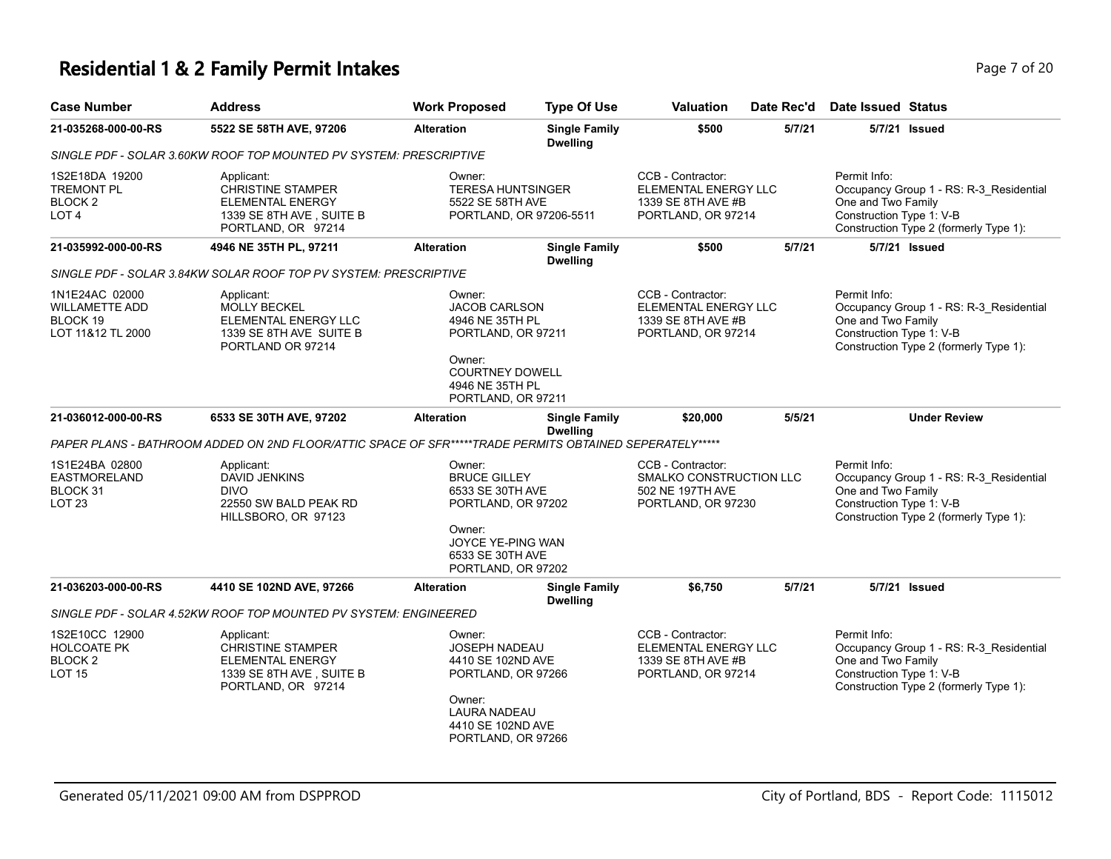# **Residential 1 & 2 Family Permit Intakes Page 7 of 20**

| <b>Case Number</b>                                                            | <b>Address</b>                                                                                                      | <b>Work Proposed</b>                                                                                                                                  | <b>Type Of Use</b>                      | <b>Valuation</b>                                                                       | Date Rec'd | Date Issued Status                                                                                                                                  |
|-------------------------------------------------------------------------------|---------------------------------------------------------------------------------------------------------------------|-------------------------------------------------------------------------------------------------------------------------------------------------------|-----------------------------------------|----------------------------------------------------------------------------------------|------------|-----------------------------------------------------------------------------------------------------------------------------------------------------|
| 21-035268-000-00-RS                                                           | 5522 SE 58TH AVE, 97206                                                                                             | <b>Alteration</b>                                                                                                                                     | <b>Single Family</b><br><b>Dwelling</b> | \$500                                                                                  | 5/7/21     | 5/7/21 Issued                                                                                                                                       |
|                                                                               | SINGLE PDF - SOLAR 3.60KW ROOF TOP MOUNTED PV SYSTEM: PRESCRIPTIVE                                                  |                                                                                                                                                       |                                         |                                                                                        |            |                                                                                                                                                     |
| 1S2E18DA 19200<br><b>TREMONT PL</b><br>BLOCK <sub>2</sub><br>LOT <sub>4</sub> | Applicant:<br><b>CHRISTINE STAMPER</b><br><b>ELEMENTAL ENERGY</b><br>1339 SE 8TH AVE, SUITE B<br>PORTLAND, OR 97214 | Owner:<br><b>TERESA HUNTSINGER</b><br>5522 SE 58TH AVE<br>PORTLAND, OR 97206-5511                                                                     |                                         | CCB - Contractor:<br>ELEMENTAL ENERGY LLC<br>1339 SE 8TH AVE #B<br>PORTLAND, OR 97214  |            | Permit Info:<br>Occupancy Group 1 - RS: R-3_Residential<br>One and Two Family<br>Construction Type 1: V-B<br>Construction Type 2 (formerly Type 1): |
| 21-035992-000-00-RS                                                           | 4946 NE 35TH PL, 97211                                                                                              | <b>Alteration</b>                                                                                                                                     | <b>Single Family</b><br><b>Dwelling</b> | \$500                                                                                  | 5/7/21     | 5/7/21 Issued                                                                                                                                       |
|                                                                               | SINGLE PDF - SOLAR 3.84KW SOLAR ROOF TOP PV SYSTEM: PRESCRIPTIVE                                                    |                                                                                                                                                       |                                         |                                                                                        |            |                                                                                                                                                     |
| 1N1E24AC 02000<br><b>WILLAMETTE ADD</b><br>BLOCK 19<br>LOT 11&12 TL 2000      | Applicant:<br><b>MOLLY BECKEL</b><br>ELEMENTAL ENERGY LLC<br>1339 SE 8TH AVE SUITE B<br>PORTLAND OR 97214           | Owner:<br><b>JACOB CARLSON</b><br>4946 NE 35TH PL<br>PORTLAND, OR 97211<br>Owner:<br><b>COURTNEY DOWELL</b><br>4946 NE 35TH PL<br>PORTLAND, OR 97211  |                                         | CCB - Contractor:<br>ELEMENTAL ENERGY LLC<br>1339 SE 8TH AVE #B<br>PORTLAND, OR 97214  |            | Permit Info:<br>Occupancy Group 1 - RS: R-3_Residential<br>One and Two Family<br>Construction Type 1: V-B<br>Construction Type 2 (formerly Type 1): |
| 21-036012-000-00-RS                                                           | 6533 SE 30TH AVE, 97202                                                                                             | <b>Alteration</b>                                                                                                                                     | <b>Single Family</b><br><b>Dwelling</b> | \$20,000                                                                               | 5/5/21     | <b>Under Review</b>                                                                                                                                 |
|                                                                               | PAPER PLANS - BATHROOM ADDED ON 2ND FLOOR/ATTIC SPACE OF SFR*****TRADE PERMITS OBTAINED SEPERATELY*****             |                                                                                                                                                       |                                         |                                                                                        |            |                                                                                                                                                     |
| 1S1E24BA 02800<br><b>EASTMORELAND</b><br>BLOCK 31<br><b>LOT 23</b>            | Applicant:<br><b>DAVID JENKINS</b><br><b>DIVO</b><br>22550 SW BALD PEAK RD<br>HILLSBORO, OR 97123                   | Owner:<br><b>BRUCE GILLEY</b><br>6533 SE 30TH AVE<br>PORTLAND, OR 97202<br>Owner:<br>JOYCE YE-PING WAN<br>6533 SE 30TH AVE<br>PORTLAND, OR 97202      |                                         | CCB - Contractor:<br>SMALKO CONSTRUCTION LLC<br>502 NE 197TH AVE<br>PORTLAND, OR 97230 |            | Permit Info:<br>Occupancy Group 1 - RS: R-3_Residential<br>One and Two Family<br>Construction Type 1: V-B<br>Construction Type 2 (formerly Type 1): |
| 21-036203-000-00-RS                                                           | 4410 SE 102ND AVE, 97266                                                                                            | <b>Alteration</b>                                                                                                                                     | <b>Single Family</b><br><b>Dwelling</b> | \$6,750                                                                                | 5/7/21     | 5/7/21 Issued                                                                                                                                       |
|                                                                               | SINGLE PDF - SOLAR 4.52KW ROOF TOP MOUNTED PV SYSTEM: ENGINEERED                                                    |                                                                                                                                                       |                                         |                                                                                        |            |                                                                                                                                                     |
| 1S2E10CC 12900<br><b>HOLCOATE PK</b><br><b>BLOCK 2</b><br><b>LOT 15</b>       | Applicant:<br><b>CHRISTINE STAMPER</b><br><b>ELEMENTAL ENERGY</b><br>1339 SE 8TH AVE, SUITE B<br>PORTLAND, OR 97214 | Owner:<br><b>JOSEPH NADEAU</b><br>4410 SE 102ND AVE<br>PORTLAND, OR 97266<br>Owner:<br><b>LAURA NADEAU</b><br>4410 SE 102ND AVE<br>PORTLAND, OR 97266 |                                         | CCB - Contractor:<br>ELEMENTAL ENERGY LLC<br>1339 SE 8TH AVE #B<br>PORTLAND, OR 97214  |            | Permit Info:<br>Occupancy Group 1 - RS: R-3_Residential<br>One and Two Family<br>Construction Type 1: V-B<br>Construction Type 2 (formerly Type 1): |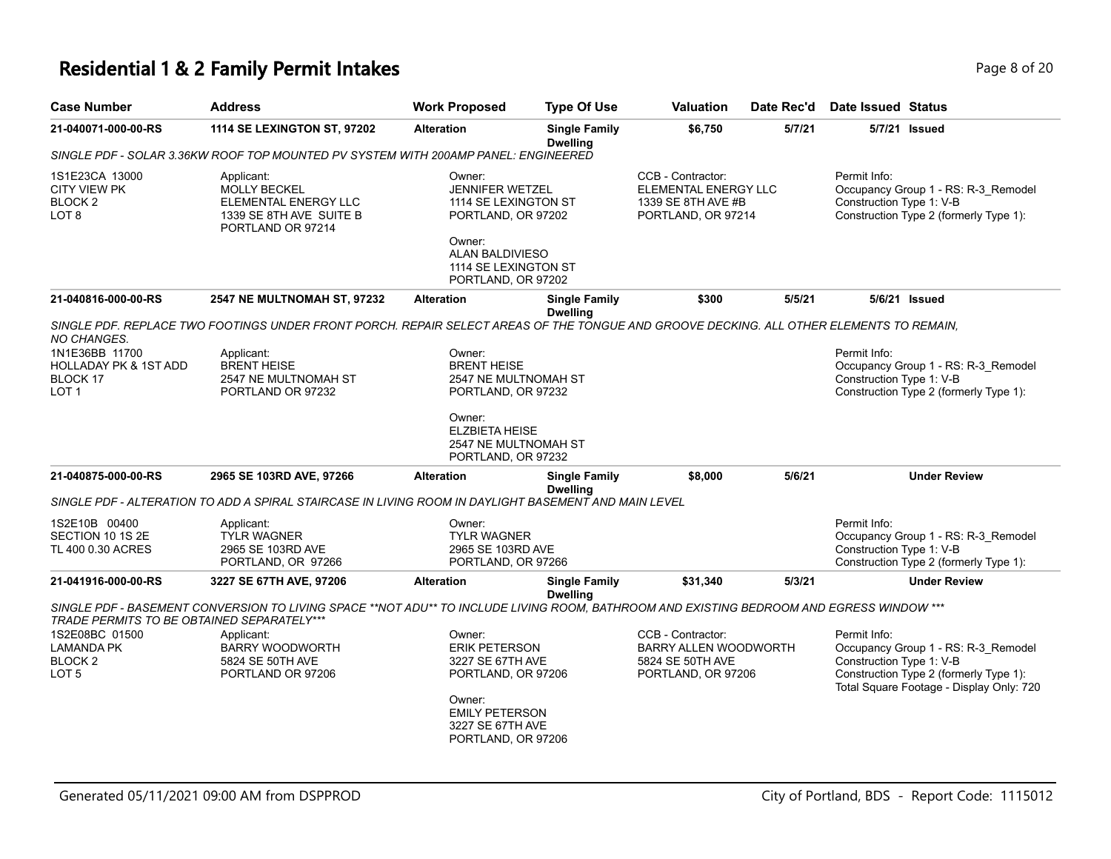# **Residential 1 & 2 Family Permit Intakes Page 1 and 20 and 20 and 20 and 20 and 20 and 20 and 20 and 20 and 20 and 20 and 20 and 20 and 20 and 20 and 20 and 20 and 20 and 20 and 20 and 20 and 20 and 20 and 20 and 20 and**

| <b>Case Number</b>                                                                        | <b>Address</b>                                                                                                                           | <b>Work Proposed</b>                                                           | <b>Type Of Use</b>                      | <b>Valuation</b>                                                                      | Date Rec'd | Date Issued Status                       |                                                                                                                           |
|-------------------------------------------------------------------------------------------|------------------------------------------------------------------------------------------------------------------------------------------|--------------------------------------------------------------------------------|-----------------------------------------|---------------------------------------------------------------------------------------|------------|------------------------------------------|---------------------------------------------------------------------------------------------------------------------------|
| 21-040071-000-00-RS                                                                       | 1114 SE LEXINGTON ST, 97202                                                                                                              | <b>Alteration</b>                                                              | <b>Single Family</b><br><b>Dwelling</b> | \$6,750                                                                               | 5/7/21     |                                          | 5/7/21 Issued                                                                                                             |
| SINGLE PDF - SOLAR 3.36KW ROOF TOP MOUNTED PV SYSTEM WITH 200AMP PANEL: ENGINEERED        |                                                                                                                                          |                                                                                |                                         |                                                                                       |            |                                          |                                                                                                                           |
| 1S1E23CA 13000<br><b>CITY VIEW PK</b><br>BLOCK <sub>2</sub><br>LOT 8                      | Applicant:<br><b>MOLLY BECKEL</b><br>ELEMENTAL ENERGY LLC<br>1339 SE 8TH AVE SUITE B<br>PORTLAND OR 97214                                | Owner:<br><b>JENNIFER WETZEL</b><br>1114 SE LEXINGTON ST<br>PORTLAND, OR 97202 |                                         | CCB - Contractor:<br>ELEMENTAL ENERGY LLC<br>1339 SE 8TH AVE #B<br>PORTLAND, OR 97214 |            | Permit Info:<br>Construction Type 1: V-B | Occupancy Group 1 - RS: R-3_Remodel<br>Construction Type 2 (formerly Type 1):                                             |
|                                                                                           |                                                                                                                                          | Owner:<br>ALAN BALDIVIESO<br>1114 SE LEXINGTON ST<br>PORTLAND, OR 97202        |                                         |                                                                                       |            |                                          |                                                                                                                           |
| 21-040816-000-00-RS                                                                       | <b>2547 NE MULTNOMAH ST, 97232</b>                                                                                                       | <b>Alteration</b>                                                              | <b>Single Family</b><br><b>Dwelling</b> | \$300                                                                                 | 5/5/21     |                                          | 5/6/21 Issued                                                                                                             |
| <b>NO CHANGES.</b>                                                                        | SINGLE PDF. REPLACE TWO FOOTINGS UNDER FRONT PORCH. REPAIR SELECT AREAS OF THE TONGUE AND GROOVE DECKING. ALL OTHER ELEMENTS TO REMAIN,  |                                                                                |                                         |                                                                                       |            |                                          |                                                                                                                           |
| 1N1E36BB 11700<br><b>HOLLADAY PK &amp; 1ST ADD</b><br><b>BLOCK 17</b><br>LOT <sub>1</sub> | Applicant:<br><b>BRENT HEISE</b><br>2547 NE MULTNOMAH ST<br>PORTLAND OR 97232                                                            | Owner:<br><b>BRENT HEISE</b><br>2547 NE MULTNOMAH ST<br>PORTLAND, OR 97232     |                                         |                                                                                       |            | Permit Info:<br>Construction Type 1: V-B | Occupancy Group 1 - RS: R-3_Remodel<br>Construction Type 2 (formerly Type 1):                                             |
|                                                                                           |                                                                                                                                          | Owner:<br><b>ELZBIETA HEISE</b><br>2547 NE MULTNOMAH ST<br>PORTLAND, OR 97232  |                                         |                                                                                       |            |                                          |                                                                                                                           |
| 21-040875-000-00-RS                                                                       | 2965 SE 103RD AVE, 97266                                                                                                                 | <b>Alteration</b>                                                              | <b>Single Family</b><br><b>Dwelling</b> | \$8,000                                                                               | 5/6/21     |                                          | <b>Under Review</b>                                                                                                       |
|                                                                                           | SINGLE PDF - ALTERATION TO ADD A SPIRAL STAIRCASE IN LIVING ROOM IN DAYLIGHT BASEMENT AND MAIN LEVEL                                     |                                                                                |                                         |                                                                                       |            |                                          |                                                                                                                           |
| 1S2E10B 00400<br>SECTION 10 1S 2E<br>TL 400 0.30 ACRES                                    | Applicant:<br><b>TYLR WAGNER</b><br>2965 SE 103RD AVE<br>PORTLAND, OR 97266                                                              | Owner:<br><b>TYLR WAGNER</b><br>2965 SE 103RD AVE<br>PORTLAND, OR 97266        |                                         |                                                                                       |            | Permit Info:<br>Construction Type 1: V-B | Occupancy Group 1 - RS: R-3_Remodel<br>Construction Type 2 (formerly Type 1):                                             |
| 21-041916-000-00-RS                                                                       | 3227 SE 67TH AVE, 97206                                                                                                                  | <b>Alteration</b>                                                              | <b>Single Family</b><br><b>Dwelling</b> | \$31,340                                                                              | 5/3/21     |                                          | <b>Under Review</b>                                                                                                       |
| TRADE PERMITS TO BE OBTAINED SEPARATELY***                                                | SINGLE PDF - BASEMENT CONVERSION TO LIVING SPACE **NOT ADU** TO INCLUDE LIVING ROOM, BATHROOM AND EXISTING BEDROOM AND EGRESS WINDOW *** |                                                                                |                                         |                                                                                       |            |                                          |                                                                                                                           |
| 1S2E08BC 01500<br><b>LAMANDA PK</b><br>BLOCK <sub>2</sub><br>LOT <sub>5</sub>             | Applicant:<br><b>BARRY WOODWORTH</b><br>5824 SE 50TH AVE<br>PORTLAND OR 97206                                                            | Owner:<br><b>ERIK PETERSON</b><br>3227 SE 67TH AVE<br>PORTLAND, OR 97206       |                                         | CCB - Contractor:<br>BARRY ALLEN WOODWORTH<br>5824 SE 50TH AVE<br>PORTLAND, OR 97206  |            | Permit Info:<br>Construction Type 1: V-B | Occupancy Group 1 - RS: R-3_Remodel<br>Construction Type 2 (formerly Type 1):<br>Total Square Footage - Display Only: 720 |
|                                                                                           |                                                                                                                                          | Owner:<br><b>EMILY PETERSON</b><br>3227 SE 67TH AVE<br>PORTLAND, OR 97206      |                                         |                                                                                       |            |                                          |                                                                                                                           |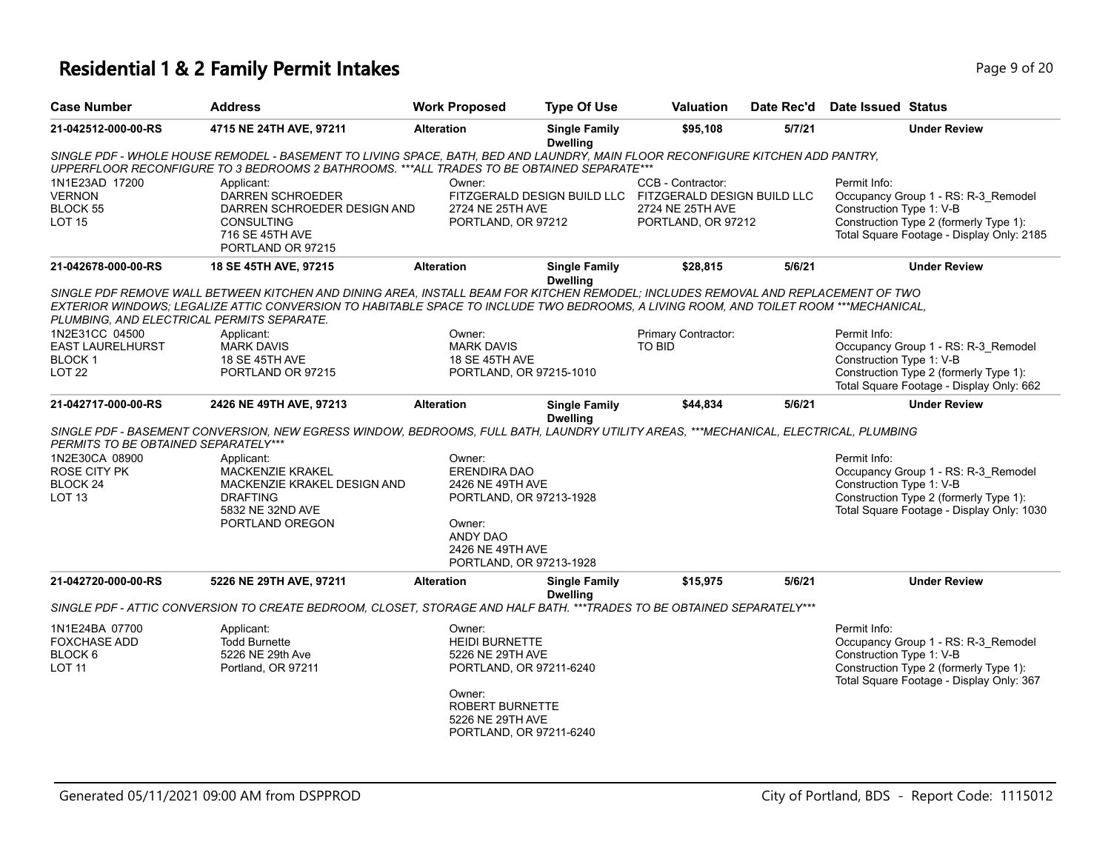# **Residential 1 & 2 Family Permit Intakes Page 1 and Security Page 9 of 20**

| <b>Case Number</b>                                                                | <b>Address</b>                                                                                                                                                                                                                                                             | <b>Work Proposed</b>                                                                                                                                              | <b>Type Of Use</b>                      | Valuation                                                                                                              | Date Rec'd | <b>Date Issued Status</b>                                                                                                                                              |
|-----------------------------------------------------------------------------------|----------------------------------------------------------------------------------------------------------------------------------------------------------------------------------------------------------------------------------------------------------------------------|-------------------------------------------------------------------------------------------------------------------------------------------------------------------|-----------------------------------------|------------------------------------------------------------------------------------------------------------------------|------------|------------------------------------------------------------------------------------------------------------------------------------------------------------------------|
| 21-042512-000-00-RS                                                               | 4715 NE 24TH AVE, 97211                                                                                                                                                                                                                                                    | <b>Alteration</b>                                                                                                                                                 | <b>Single Family</b><br><b>Dwelling</b> | \$95,108                                                                                                               | 5/7/21     | <b>Under Review</b>                                                                                                                                                    |
|                                                                                   | SINGLE PDF - WHOLE HOUSE REMODEL - BASEMENT TO LIVING SPACE, BATH, BED AND LAUNDRY, MAIN FLOOR RECONFIGURE KITCHEN ADD PANTRY,<br>UPPERFLOOR RECONFIGURE TO 3 BEDROOMS 2 BATHROOMS. ***ALL TRADES TO BE OBTAINED SEPARATE***                                               |                                                                                                                                                                   |                                         |                                                                                                                        |            |                                                                                                                                                                        |
| 1N1E23AD 17200<br><b>VERNON</b><br>BLOCK 55<br><b>LOT 15</b>                      | Applicant:<br>DARREN SCHROEDER<br>DARREN SCHROEDER DESIGN AND<br><b>CONSULTING</b><br>716 SE 45TH AVE<br>PORTLAND OR 97215                                                                                                                                                 | Owner:<br>2724 NE 25TH AVE<br>PORTLAND, OR 97212                                                                                                                  |                                         | CCB - Contractor:<br>FITZGERALD DESIGN BUILD LLC FITZGERALD DESIGN BUILD LLC<br>2724 NE 25TH AVE<br>PORTLAND, OR 97212 |            | Permit Info:<br>Occupancy Group 1 - RS: R-3_Remodel<br>Construction Type 1: V-B<br>Construction Type 2 (formerly Type 1):<br>Total Square Footage - Display Only: 2185 |
| 21-042678-000-00-RS                                                               | 18 SE 45TH AVE, 97215                                                                                                                                                                                                                                                      | <b>Alteration</b>                                                                                                                                                 | <b>Single Family</b><br><b>Dwelling</b> | \$28,815                                                                                                               | 5/6/21     | <b>Under Review</b>                                                                                                                                                    |
| PLUMBING, AND ELECTRICAL PERMITS SEPARATE.                                        | SINGLE PDF REMOVE WALL BETWEEN KITCHEN AND DINING AREA, INSTALL BEAM FOR KITCHEN REMODEL; INCLUDES REMOVAL AND REPLACEMENT OF TWO<br>EXTERIOR WINDOWS; LEGALIZE ATTIC CONVERSION TO HABITABLE SPACE TO INCLUDE TWO BEDROOMS, A LIVING ROOM, AND TOILET ROOM ***MECHANICAL, |                                                                                                                                                                   |                                         |                                                                                                                        |            |                                                                                                                                                                        |
| 1N2E31CC 04500                                                                    | Applicant:                                                                                                                                                                                                                                                                 | Owner:                                                                                                                                                            |                                         | Primary Contractor:                                                                                                    |            | Permit Info:                                                                                                                                                           |
| EAST LAURELHURST<br>BLOCK <sub>1</sub>                                            | <b>MARK DAVIS</b><br>18 SE 45TH AVE                                                                                                                                                                                                                                        | <b>MARK DAVIS</b><br><b>18 SE 45TH AVE</b>                                                                                                                        |                                         | TO BID                                                                                                                 |            | Occupancy Group 1 - RS: R-3_Remodel<br>Construction Type 1: V-B                                                                                                        |
| <b>LOT 22</b>                                                                     | PORTLAND OR 97215                                                                                                                                                                                                                                                          | PORTLAND, OR 97215-1010                                                                                                                                           |                                         |                                                                                                                        |            | Construction Type 2 (formerly Type 1):<br>Total Square Footage - Display Only: 662                                                                                     |
| 21-042717-000-00-RS                                                               | 2426 NE 49TH AVE, 97213                                                                                                                                                                                                                                                    | <b>Alteration</b>                                                                                                                                                 | <b>Single Family</b><br><b>Dwelling</b> | \$44,834                                                                                                               | 5/6/21     | <b>Under Review</b>                                                                                                                                                    |
| PERMITS TO BE OBTAINED SEPARATELY***                                              | SINGLE PDF - BASEMENT CONVERSION, NEW EGRESS WINDOW, BEDROOMS, FULL BATH, LAUNDRY UTILITY AREAS, ***MECHANICAL, ELECTRICAL, PLUMBING                                                                                                                                       |                                                                                                                                                                   |                                         |                                                                                                                        |            |                                                                                                                                                                        |
| 1N2E30CA 08900<br><b>ROSE CITY PK</b><br>BLOCK <sub>24</sub><br>LOT <sub>13</sub> | Applicant:<br><b>MACKENZIE KRAKEL</b><br>MACKENZIE KRAKEL DESIGN AND<br><b>DRAFTING</b><br>5832 NE 32ND AVE<br>PORTLAND OREGON                                                                                                                                             | Owner:<br>ERENDIRA DAO<br>2426 NE 49TH AVE<br>PORTLAND, OR 97213-1928<br>Owner:<br><b>ANDY DAO</b><br>2426 NE 49TH AVE<br>PORTLAND, OR 97213-1928                 |                                         |                                                                                                                        |            | Permit Info:<br>Occupancy Group 1 - RS: R-3 Remodel<br>Construction Type 1: V-B<br>Construction Type 2 (formerly Type 1):<br>Total Square Footage - Display Only: 1030 |
| 21-042720-000-00-RS                                                               | 5226 NE 29TH AVE, 97211                                                                                                                                                                                                                                                    | <b>Alteration</b>                                                                                                                                                 | <b>Single Family</b><br><b>Dwelling</b> | \$15,975                                                                                                               | 5/6/21     | <b>Under Review</b>                                                                                                                                                    |
|                                                                                   | SINGLE PDF - ATTIC CONVERSION TO CREATE BEDROOM, CLOSET, STORAGE AND HALF BATH. *** TRADES TO BE OBTAINED SEPARATELY***                                                                                                                                                    |                                                                                                                                                                   |                                         |                                                                                                                        |            |                                                                                                                                                                        |
| 1N1E24BA 07700<br><b>FOXCHASE ADD</b><br>BLOCK 6<br><b>LOT 11</b>                 | Applicant:<br><b>Todd Burnette</b><br>5226 NE 29th Ave<br>Portland, OR 97211                                                                                                                                                                                               | Owner:<br><b>HEIDI BURNETTE</b><br>5226 NE 29TH AVE<br>PORTLAND, OR 97211-6240<br>Owner:<br><b>ROBERT BURNETTE</b><br>5226 NE 29TH AVE<br>PORTLAND, OR 97211-6240 |                                         |                                                                                                                        |            | Permit Info:<br>Occupancy Group 1 - RS: R-3_Remodel<br>Construction Type 1: V-B<br>Construction Type 2 (formerly Type 1):<br>Total Square Footage - Display Only: 367  |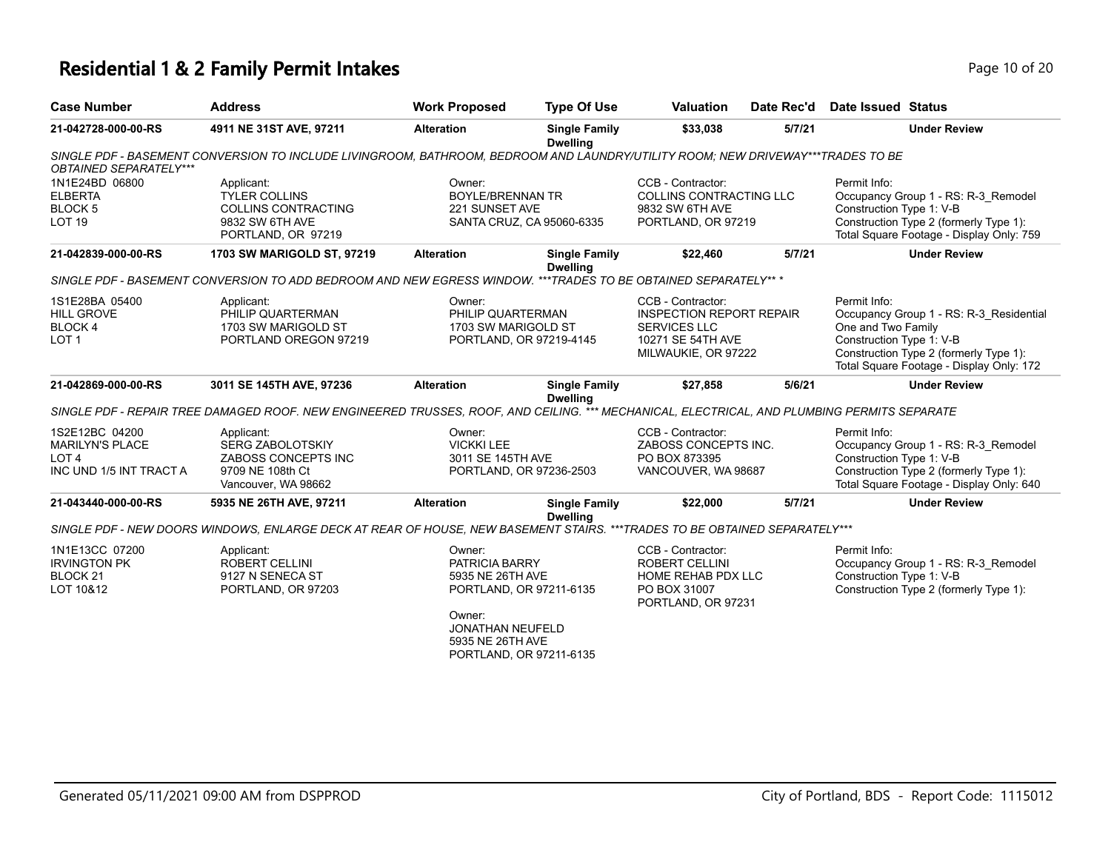## **Residential 1 & 2 Family Permit Intakes Page 10 of 20 and 20 and 20 and 20 and 20 and 20 and 20 and 20 and 20 and 20 and 20 and 20 and 20 and 20 and 20 and 20 and 20 and 20 and 20 and 20 and 20 and 20 and 20 and 20 and**

| <b>Case Number</b>                                                                      | <b>Address</b>                                                                                                                              | <b>Work Proposed</b>                                                                                                                                 | <b>Type Of Use</b>                      | <b>Valuation</b>                                                                                                        | Date Rec'd | Date Issued Status                                             |                                                                                                                               |
|-----------------------------------------------------------------------------------------|---------------------------------------------------------------------------------------------------------------------------------------------|------------------------------------------------------------------------------------------------------------------------------------------------------|-----------------------------------------|-------------------------------------------------------------------------------------------------------------------------|------------|----------------------------------------------------------------|-------------------------------------------------------------------------------------------------------------------------------|
| 21-042728-000-00-RS                                                                     | 4911 NE 31ST AVE, 97211                                                                                                                     | <b>Alteration</b>                                                                                                                                    | <b>Single Family</b><br><b>Dwelling</b> | \$33,038                                                                                                                | 5/7/21     |                                                                | <b>Under Review</b>                                                                                                           |
| OBTAINED SEPARATELY***                                                                  | SINGLE PDF - BASEMENT CONVERSION TO INCLUDE LIVINGROOM, BATHROOM, BEDROOM AND LAUNDRY/UTILITY ROOM; NEW DRIVEWAY***TRADES TO BE             |                                                                                                                                                      |                                         |                                                                                                                         |            |                                                                |                                                                                                                               |
| 1N1E24BD 06800<br><b>ELBERTA</b><br>BLOCK <sub>5</sub><br>LOT <sub>19</sub>             | Applicant:<br><b>TYLER COLLINS</b><br><b>COLLINS CONTRACTING</b><br>9832 SW 6TH AVE<br>PORTLAND, OR 97219                                   | Owner:<br><b>BOYLE/BRENNAN TR</b><br>221 SUNSET AVE                                                                                                  | SANTA CRUZ, CA 95060-6335               | CCB - Contractor:<br><b>COLLINS CONTRACTING LLC</b><br>9832 SW 6TH AVE<br>PORTLAND, OR 97219                            |            | Permit Info:<br>Construction Type 1: V-B                       | Occupancy Group 1 - RS: R-3_Remodel<br>Construction Type 2 (formerly Type 1):<br>Total Square Footage - Display Only: 759     |
| 21-042839-000-00-RS                                                                     | 1703 SW MARIGOLD ST, 97219                                                                                                                  | <b>Alteration</b>                                                                                                                                    | <b>Single Family</b>                    | \$22,460                                                                                                                | 5/7/21     |                                                                | <b>Under Review</b>                                                                                                           |
|                                                                                         | SINGLE PDF - BASEMENT CONVERSION TO ADD BEDROOM AND NEW EGRESS WINDOW. ***TRADES TO BE OBTAINED SEPARATELY** *                              |                                                                                                                                                      | <b>Dwelling</b>                         |                                                                                                                         |            |                                                                |                                                                                                                               |
| 1S1E28BA 05400<br><b>HILL GROVE</b><br><b>BLOCK4</b><br>LOT <sub>1</sub>                | Applicant:<br>PHILIP QUARTERMAN<br>1703 SW MARIGOLD ST<br>PORTLAND OREGON 97219                                                             | Owner:<br>PHILIP QUARTERMAN<br>1703 SW MARIGOLD ST<br>PORTLAND, OR 97219-4145                                                                        |                                         | CCB - Contractor:<br><b>INSPECTION REPORT REPAIR</b><br><b>SERVICES LLC</b><br>10271 SE 54TH AVE<br>MILWAUKIE, OR 97222 |            | Permit Info:<br>One and Two Family<br>Construction Type 1: V-B | Occupancy Group 1 - RS: R-3_Residential<br>Construction Type 2 (formerly Type 1):<br>Total Square Footage - Display Only: 172 |
| 21-042869-000-00-RS                                                                     | 3011 SE 145TH AVE, 97236                                                                                                                    | <b>Alteration</b>                                                                                                                                    | <b>Single Family</b><br><b>Dwelling</b> | \$27.858                                                                                                                | 5/6/21     |                                                                | <b>Under Review</b>                                                                                                           |
|                                                                                         | SINGLE PDF - REPAIR TREE DAMAGED ROOF. NEW ENGINEERED TRUSSES, ROOF, AND CEILING. *** MECHANICAL, ELECTRICAL, AND PLUMBING PERMITS SEPARATE |                                                                                                                                                      |                                         |                                                                                                                         |            |                                                                |                                                                                                                               |
| 1S2E12BC 04200<br><b>MARILYN'S PLACE</b><br>LOT <sub>4</sub><br>INC UND 1/5 INT TRACT A | Applicant:<br><b>SERG ZABOLOTSKIY</b><br>ZABOSS CONCEPTS INC<br>9709 NE 108th Ct<br>Vancouver, WA 98662                                     | Owner:<br><b>VICKKI LEE</b><br>3011 SE 145TH AVE<br>PORTLAND, OR 97236-2503                                                                          |                                         | CCB - Contractor:<br>ZABOSS CONCEPTS INC.<br>PO BOX 873395<br>VANCOUVER, WA 98687                                       |            | Permit Info:<br>Construction Type 1: V-B                       | Occupancy Group 1 - RS: R-3_Remodel<br>Construction Type 2 (formerly Type 1):<br>Total Square Footage - Display Only: 640     |
| 21-043440-000-00-RS                                                                     | 5935 NE 26TH AVE, 97211                                                                                                                     | <b>Alteration</b>                                                                                                                                    | <b>Single Family</b>                    | \$22,000                                                                                                                | 5/7/21     |                                                                | <b>Under Review</b>                                                                                                           |
|                                                                                         | SINGLE PDF - NEW DOORS WINDOWS. ENLARGE DECK AT REAR OF HOUSE. NEW BASEMENT STAIRS. ***TRADES TO BE OBTAINED SEPARATELY***                  |                                                                                                                                                      | <b>Dwelling</b>                         |                                                                                                                         |            |                                                                |                                                                                                                               |
| 1N1E13CC 07200<br><b>IRVINGTON PK</b><br>BLOCK <sub>21</sub><br>LOT 10&12               | Applicant:<br><b>ROBERT CELLINI</b><br>9127 N SENECA ST<br>PORTLAND, OR 97203                                                               | Owner:<br>PATRICIA BARRY<br>5935 NE 26TH AVE<br>PORTLAND, OR 97211-6135<br>Owner:<br>JONATHAN NEUFELD<br>5935 NE 26TH AVE<br>PORTLAND, OR 97211-6135 |                                         | CCB - Contractor:<br><b>ROBERT CELLINI</b><br>HOME REHAB PDX LLC<br>PO BOX 31007<br>PORTLAND, OR 97231                  |            | Permit Info:<br>Construction Type 1: V-B                       | Occupancy Group 1 - RS: R-3_Remodel<br>Construction Type 2 (formerly Type 1):                                                 |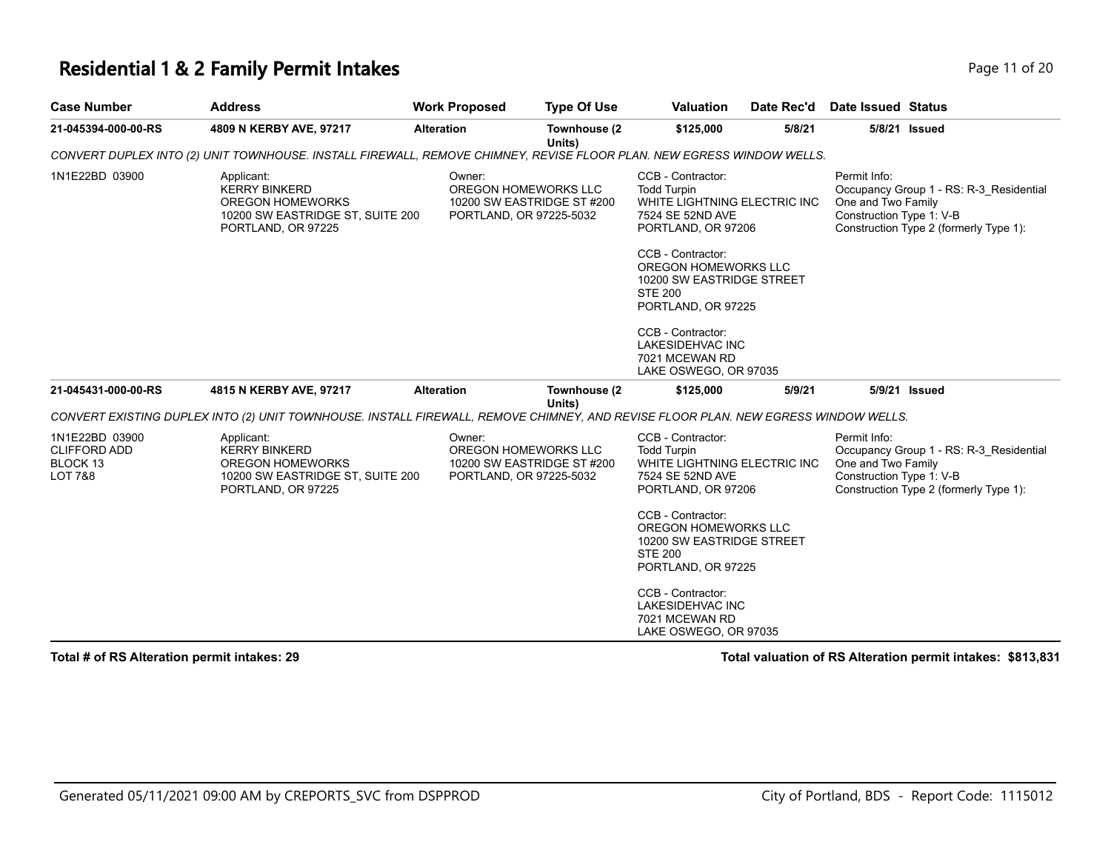#### **Residential 1 & 2 Family Permit Intakes Page 11 of 20 and 20 and 20 and 20 and 20 and 20 and 20 and 20 and 20 and 20 and 20 and 20 and 20 and 20 and 20 and 20 and 20 and 20 and 20 and 20 and 20 and 20 and 20 and 20 and**

| autet2 hausslateN h |           |
|---------------------|-----------|
|                     | Page II o |

| <b>Case Number</b>                                                      | <b>Address</b>                                                                                                                     | <b>Work Proposed</b> | <b>Type Of Use</b>                                                            | Valuation                                                                                                                                                                                                                                                                                                               | Date Rec'd | Date Issued Status                                             |                                                                                   |
|-------------------------------------------------------------------------|------------------------------------------------------------------------------------------------------------------------------------|----------------------|-------------------------------------------------------------------------------|-------------------------------------------------------------------------------------------------------------------------------------------------------------------------------------------------------------------------------------------------------------------------------------------------------------------------|------------|----------------------------------------------------------------|-----------------------------------------------------------------------------------|
| 21-045394-000-00-RS                                                     | 4809 N KERBY AVE, 97217                                                                                                            | <b>Alteration</b>    | Townhouse (2<br>Units)                                                        | \$125,000                                                                                                                                                                                                                                                                                                               | 5/8/21     |                                                                | 5/8/21 Issued                                                                     |
|                                                                         | CONVERT DUPLEX INTO (2) UNIT TOWNHOUSE. INSTALL FIREWALL, REMOVE CHIMNEY, REVISE FLOOR PLAN. NEW EGRESS WINDOW WELLS.              |                      |                                                                               |                                                                                                                                                                                                                                                                                                                         |            |                                                                |                                                                                   |
| 1N1E22BD 03900                                                          | Applicant:<br><b>KERRY BINKERD</b><br><b>OREGON HOMEWORKS</b><br>10200 SW EASTRIDGE ST, SUITE 200<br>PORTLAND, OR 97225            | Owner:               | OREGON HOMEWORKS LLC<br>10200 SW EASTRIDGE ST #200<br>PORTLAND, OR 97225-5032 | CCB - Contractor:<br><b>Todd Turpin</b><br>WHITE LIGHTNING ELECTRIC INC<br>7524 SE 52ND AVE<br>PORTLAND, OR 97206<br>CCB - Contractor:<br>OREGON HOMEWORKS LLC<br>10200 SW EASTRIDGE STREET<br><b>STE 200</b><br>PORTLAND, OR 97225<br>CCB - Contractor:<br>LAKESIDEHVAC INC<br>7021 MCEWAN RD<br>LAKE OSWEGO, OR 97035 |            | Permit Info:<br>One and Two Family<br>Construction Type 1: V-B | Occupancy Group 1 - RS: R-3 Residential<br>Construction Type 2 (formerly Type 1): |
| 21-045431-000-00-RS                                                     | 4815 N KERBY AVE, 97217                                                                                                            | <b>Alteration</b>    | Townhouse (2<br>Units)                                                        | \$125,000                                                                                                                                                                                                                                                                                                               | 5/9/21     |                                                                | 5/9/21 Issued                                                                     |
|                                                                         | CONVERT EXISTING DUPLEX INTO (2) UNIT TOWNHOUSE. INSTALL FIREWALL, REMOVE CHIMNEY, AND REVISE FLOOR PLAN. NEW EGRESS WINDOW WELLS. |                      |                                                                               |                                                                                                                                                                                                                                                                                                                         |            |                                                                |                                                                                   |
| 1N1E22BD 03900<br><b>CLIFFORD ADD</b><br>BLOCK 13<br><b>LOT 7&amp;8</b> | Applicant:<br><b>KERRY BINKERD</b><br><b>OREGON HOMEWORKS</b><br>10200 SW EASTRIDGE ST, SUITE 200<br>PORTLAND, OR 97225            | Owner:               | OREGON HOMEWORKS LLC<br>10200 SW EASTRIDGE ST #200<br>PORTLAND, OR 97225-5032 | CCB - Contractor:<br><b>Todd Turpin</b><br>WHITE LIGHTNING ELECTRIC INC<br>7524 SE 52ND AVE<br>PORTLAND, OR 97206<br>CCB - Contractor:<br>OREGON HOMEWORKS LLC<br>10200 SW EASTRIDGE STREET<br><b>STE 200</b><br>PORTLAND, OR 97225                                                                                     |            | Permit Info:<br>One and Two Family<br>Construction Type 1: V-B | Occupancy Group 1 - RS: R-3 Residential<br>Construction Type 2 (formerly Type 1): |
|                                                                         |                                                                                                                                    |                      |                                                                               | CCB - Contractor:<br>LAKESIDEHVAC INC<br>7021 MCEWAN RD<br>LAKE OSWEGO, OR 97035                                                                                                                                                                                                                                        |            |                                                                |                                                                                   |

**Total # of RS Alteration permit intakes: 29 Total valuation of RS Alteration permit intakes: \$813,831**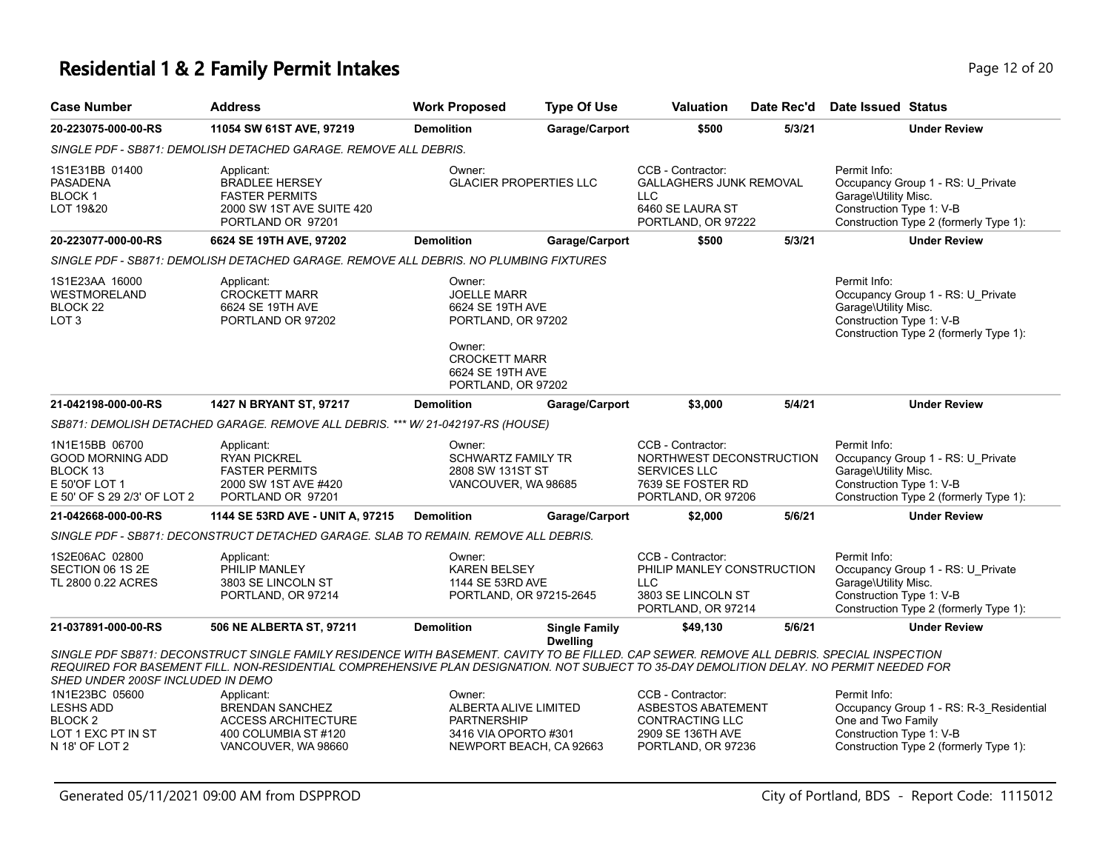## **Residential 1 & 2 Family Permit Intakes Page 12 of 20 and 20 and 20 and 20 and 20 and 20 and 20 and 20 and 20 and 20 and 20 and 20 and 20 and 20 and 20 and 20 and 20 and 20 and 20 and 20 and 20 and 20 and 20 and 20 and**

| <b>Case Number</b>                                                                                               | <b>Address</b>                                                                                                                                                                                                                                                                         | <b>Work Proposed</b>                                                                                                                               | <b>Type Of Use</b>                      | <b>Valuation</b>                                                                                                | Date Rec'd | Date Issued Status                                                                                                                                  |  |  |
|------------------------------------------------------------------------------------------------------------------|----------------------------------------------------------------------------------------------------------------------------------------------------------------------------------------------------------------------------------------------------------------------------------------|----------------------------------------------------------------------------------------------------------------------------------------------------|-----------------------------------------|-----------------------------------------------------------------------------------------------------------------|------------|-----------------------------------------------------------------------------------------------------------------------------------------------------|--|--|
| 20-223075-000-00-RS                                                                                              | 11054 SW 61ST AVE, 97219                                                                                                                                                                                                                                                               | <b>Demolition</b>                                                                                                                                  | Garage/Carport                          | \$500                                                                                                           | 5/3/21     | <b>Under Review</b>                                                                                                                                 |  |  |
|                                                                                                                  | SINGLE PDF - SB871: DEMOLISH DETACHED GARAGE. REMOVE ALL DEBRIS.                                                                                                                                                                                                                       |                                                                                                                                                    |                                         |                                                                                                                 |            |                                                                                                                                                     |  |  |
| 1S1E31BB 01400<br><b>PASADENA</b><br><b>BLOCK1</b><br>LOT 19&20                                                  | Applicant:<br><b>BRADLEE HERSEY</b><br><b>FASTER PERMITS</b><br>2000 SW 1ST AVE SUITE 420<br>PORTLAND OR 97201                                                                                                                                                                         | Owner:<br><b>GLACIER PROPERTIES LLC</b>                                                                                                            |                                         | CCB - Contractor:<br><b>GALLAGHERS JUNK REMOVAL</b><br><b>LLC</b><br>6460 SE LAURA ST<br>PORTLAND, OR 97222     |            | Permit Info:<br>Occupancy Group 1 - RS: U Private<br>Garage\Utility Misc.<br>Construction Type 1: V-B<br>Construction Type 2 (formerly Type 1):     |  |  |
| 20-223077-000-00-RS                                                                                              | 6624 SE 19TH AVE, 97202                                                                                                                                                                                                                                                                | <b>Demolition</b>                                                                                                                                  | Garage/Carport                          | \$500                                                                                                           | 5/3/21     | <b>Under Review</b>                                                                                                                                 |  |  |
| SINGLE PDF - SB871: DEMOLISH DETACHED GARAGE. REMOVE ALL DEBRIS. NO PLUMBING FIXTURES                            |                                                                                                                                                                                                                                                                                        |                                                                                                                                                    |                                         |                                                                                                                 |            |                                                                                                                                                     |  |  |
| 1S1E23AA 16000<br>WESTMORELAND<br>BLOCK 22<br>LOT <sub>3</sub>                                                   | Applicant:<br><b>CROCKETT MARR</b><br>6624 SE 19TH AVE<br>PORTLAND OR 97202                                                                                                                                                                                                            | Owner:<br><b>JOELLE MARR</b><br>6624 SE 19TH AVE<br>PORTLAND, OR 97202<br>Owner:<br><b>CROCKETT MARR</b><br>6624 SE 19TH AVE<br>PORTLAND, OR 97202 |                                         |                                                                                                                 |            | Permit Info:<br>Occupancy Group 1 - RS: U_Private<br>Garage\Utility Misc.<br>Construction Type 1: V-B<br>Construction Type 2 (formerly Type 1):     |  |  |
| 21-042198-000-00-RS                                                                                              | 1427 N BRYANT ST, 97217                                                                                                                                                                                                                                                                | <b>Demolition</b>                                                                                                                                  | Garage/Carport                          | \$3,000                                                                                                         | 5/4/21     | <b>Under Review</b>                                                                                                                                 |  |  |
|                                                                                                                  | SB871: DEMOLISH DETACHED GARAGE. REMOVE ALL DEBRIS. *** W/ 21-042197-RS (HOUSE)                                                                                                                                                                                                        |                                                                                                                                                    |                                         |                                                                                                                 |            |                                                                                                                                                     |  |  |
| 1N1E15BB 06700<br><b>GOOD MORNING ADD</b><br>BLOCK <sub>13</sub><br>E 50'OF LOT 1<br>E 50' OF S 29 2/3' OF LOT 2 | Applicant:<br><b>RYAN PICKREL</b><br><b>FASTER PERMITS</b><br>2000 SW 1ST AVE #420<br>PORTLAND OR 97201                                                                                                                                                                                | Owner:<br><b>SCHWARTZ FAMILY TR</b><br>2808 SW 131ST ST<br>VANCOUVER, WA 98685                                                                     |                                         | CCB - Contractor:<br>NORTHWEST DECONSTRUCTION<br><b>SERVICES LLC</b><br>7639 SE FOSTER RD<br>PORTLAND, OR 97206 |            | Permit Info:<br>Occupancy Group 1 - RS: U_Private<br>Garage\Utility Misc.<br>Construction Type 1: V-B<br>Construction Type 2 (formerly Type 1):     |  |  |
| 21-042668-000-00-RS                                                                                              | 1144 SE 53RD AVE - UNIT A, 97215                                                                                                                                                                                                                                                       | <b>Demolition</b>                                                                                                                                  | Garage/Carport                          | \$2,000                                                                                                         | 5/6/21     | <b>Under Review</b>                                                                                                                                 |  |  |
|                                                                                                                  | SINGLE PDF - SB871: DECONSTRUCT DETACHED GARAGE. SLAB TO REMAIN. REMOVE ALL DEBRIS.                                                                                                                                                                                                    |                                                                                                                                                    |                                         |                                                                                                                 |            |                                                                                                                                                     |  |  |
| 1S2E06AC 02800<br>SECTION 06 1S 2E<br>TL 2800 0.22 ACRES                                                         | Applicant:<br>PHILIP MANLEY<br>3803 SE LINCOLN ST<br>PORTLAND, OR 97214                                                                                                                                                                                                                | Owner:<br><b>KAREN BELSEY</b><br>1144 SE 53RD AVE<br>PORTLAND, OR 97215-2645                                                                       |                                         | CCB - Contractor:<br>PHILIP MANLEY CONSTRUCTION<br><b>LLC</b><br>3803 SE LINCOLN ST<br>PORTLAND, OR 97214       |            | Permit Info:<br>Occupancy Group 1 - RS: U_Private<br>Garage\Utility Misc.<br>Construction Type 1: V-B<br>Construction Type 2 (formerly Type 1):     |  |  |
| 21-037891-000-00-RS                                                                                              | 506 NE ALBERTA ST, 97211                                                                                                                                                                                                                                                               | <b>Demolition</b>                                                                                                                                  | <b>Single Family</b><br><b>Dwelling</b> | \$49,130                                                                                                        | 5/6/21     | <b>Under Review</b>                                                                                                                                 |  |  |
| SHED UNDER 200SF INCLUDED IN DEMO                                                                                | SINGLE PDF SB871: DECONSTRUCT SINGLE FAMILY RESIDENCE WITH BASEMENT. CAVITY TO BE FILLED. CAP SEWER. REMOVE ALL DEBRIS. SPECIAL INSPECTION<br>REQUIRED FOR BASEMENT FILL. NON-RESIDENTIAL COMPREHENSIVE PLAN DESIGNATION. NOT SUBJECT TO 35-DAY DEMOLITION DELAY. NO PERMIT NEEDED FOR |                                                                                                                                                    |                                         |                                                                                                                 |            |                                                                                                                                                     |  |  |
| 1N1E23BC 05600<br><b>LESHS ADD</b><br>BLOCK <sub>2</sub><br>LOT 1 EXC PT IN ST<br>N 18' OF LOT 2                 | Applicant:<br><b>BRENDAN SANCHEZ</b><br><b>ACCESS ARCHITECTURE</b><br>400 COLUMBIA ST#120<br>VANCOUVER, WA 98660                                                                                                                                                                       | Owner:<br>ALBERTA ALIVE LIMITED<br><b>PARTNERSHIP</b><br>3416 VIA OPORTO #301<br>NEWPORT BEACH, CA 92663                                           |                                         | CCB - Contractor:<br>ASBESTOS ABATEMENT<br><b>CONTRACTING LLC</b><br>2909 SE 136TH AVE<br>PORTLAND, OR 97236    |            | Permit Info:<br>Occupancy Group 1 - RS: R-3_Residential<br>One and Two Family<br>Construction Type 1: V-B<br>Construction Type 2 (formerly Type 1): |  |  |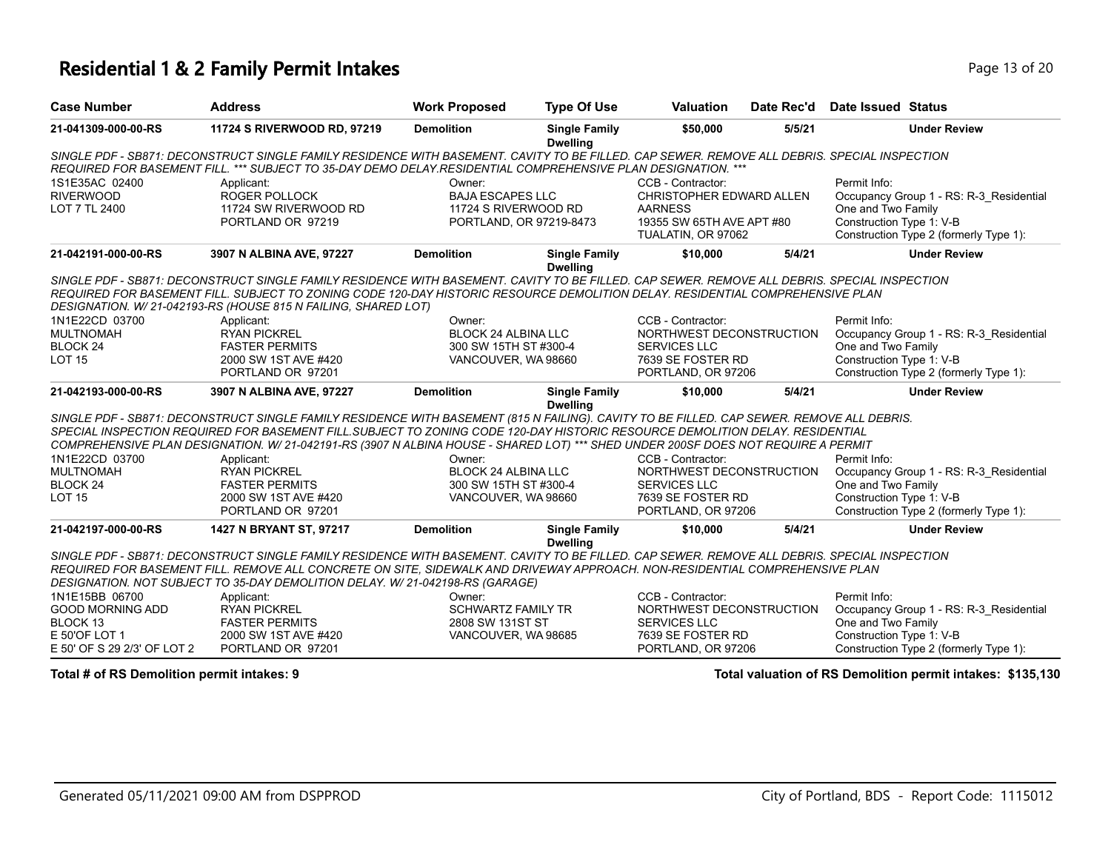## **Residential 1 & 2 Family Permit Intakes Page 13 of 20 and 20 and 20 and 20 and 20 and 20 and 20 and 20 and 20 and 20 and 20 and 20 and 20 and 20 and 20 and 20 and 20 and 20 and 20 and 20 and 20 and 20 and 20 and 20 and**

| <b>Case Number</b>          | <b>Address</b>                                                                                                                               | <b>Work Proposed</b>       | <b>Type Of Use</b>                      | <b>Valuation</b>          | Date Rec'd | Date Issued Status                      |  |  |
|-----------------------------|----------------------------------------------------------------------------------------------------------------------------------------------|----------------------------|-----------------------------------------|---------------------------|------------|-----------------------------------------|--|--|
| 21-041309-000-00-RS         | 11724 S RIVERWOOD RD, 97219                                                                                                                  | <b>Demolition</b>          | <b>Single Family</b><br><b>Dwelling</b> | \$50,000                  | 5/5/21     | <b>Under Review</b>                     |  |  |
|                             | SINGLE PDF - SB871: DECONSTRUCT SINGLE FAMILY RESIDENCE WITH BASEMENT. CAVITY TO BE FILLED. CAP SEWER. REMOVE ALL DEBRIS. SPECIAL INSPECTION |                            |                                         |                           |            |                                         |  |  |
|                             | REQUIRED FOR BASEMENT FILL. *** SUBJECT TO 35-DAY DEMO DELAY.RESIDENTIAL COMPREHENSIVE PLAN DESIGNATION. ***                                 |                            |                                         |                           |            |                                         |  |  |
| 1S1E35AC 02400              | Applicant:                                                                                                                                   | Owner:                     |                                         | CCB - Contractor:         |            | Permit Info:                            |  |  |
| <b>RIVERWOOD</b>            | <b>ROGER POLLOCK</b>                                                                                                                         | <b>BAJA ESCAPES LLC</b>    |                                         | CHRISTOPHER EDWARD ALLEN  |            | Occupancy Group 1 - RS: R-3 Residential |  |  |
| LOT 7 TL 2400               | 11724 SW RIVERWOOD RD                                                                                                                        | 11724 S RIVERWOOD RD       |                                         | <b>AARNESS</b>            |            | One and Two Family                      |  |  |
|                             | PORTLAND OR 97219                                                                                                                            | PORTLAND, OR 97219-8473    |                                         | 19355 SW 65TH AVE APT #80 |            | Construction Type 1: V-B                |  |  |
|                             |                                                                                                                                              |                            |                                         | TUALATIN, OR 97062        |            | Construction Type 2 (formerly Type 1):  |  |  |
| 21-042191-000-00-RS         | 3907 N ALBINA AVE, 97227                                                                                                                     | <b>Demolition</b>          | <b>Single Family</b><br><b>Dwelling</b> | \$10,000                  | 5/4/21     | <b>Under Review</b>                     |  |  |
|                             | SINGLE PDF - SB871: DECONSTRUCT SINGLE FAMILY RESIDENCE WITH BASEMENT. CAVITY TO BE FILLED. CAP SEWER. REMOVE ALL DEBRIS. SPECIAL INSPECTION |                            |                                         |                           |            |                                         |  |  |
|                             | REQUIRED FOR BASEMENT FILL. SUBJECT TO ZONING CODE 120-DAY HISTORIC RESOURCE DEMOLITION DELAY. RESIDENTIAL COMPREHENSIVE PLAN                |                            |                                         |                           |            |                                         |  |  |
|                             | DESIGNATION. W/21-042193-RS (HOUSE 815 N FAILING, SHARED LOT)                                                                                |                            |                                         |                           |            |                                         |  |  |
| 1N1E22CD 03700              | Applicant:                                                                                                                                   | Owner:                     |                                         | CCB - Contractor:         |            | Permit Info:                            |  |  |
| <b>MULTNOMAH</b>            | <b>RYAN PICKREL</b>                                                                                                                          | <b>BLOCK 24 ALBINA LLC</b> |                                         | NORTHWEST DECONSTRUCTION  |            | Occupancy Group 1 - RS: R-3 Residential |  |  |
| BLOCK <sub>24</sub>         | <b>FASTER PERMITS</b>                                                                                                                        | 300 SW 15TH ST #300-4      |                                         | <b>SERVICES LLC</b>       |            | One and Two Family                      |  |  |
| <b>LOT 15</b>               | 2000 SW 1ST AVE #420                                                                                                                         | VANCOUVER, WA 98660        |                                         | 7639 SE FOSTER RD         |            | Construction Type 1: V-B                |  |  |
|                             | PORTLAND OR 97201                                                                                                                            |                            |                                         | PORTLAND, OR 97206        |            | Construction Type 2 (formerly Type 1):  |  |  |
| 21-042193-000-00-RS         | 3907 N ALBINA AVE, 97227                                                                                                                     | <b>Demolition</b>          | <b>Single Family</b><br><b>Dwelling</b> | \$10,000                  | 5/4/21     | <b>Under Review</b>                     |  |  |
|                             | SINGLE PDF - SB871: DECONSTRUCT SINGLE FAMILY RESIDENCE WITH BASEMENT (815 N FAILING). CAVITY TO BE FILLED. CAP SEWER. REMOVE ALL DEBRIS.    |                            |                                         |                           |            |                                         |  |  |
|                             | SPECIAL INSPECTION REQUIRED FOR BASEMENT FILL SUBJECT TO ZONING CODE 120-DAY HISTORIC RESOURCE DEMOLITION DELAY. RESIDENTIAL                 |                            |                                         |                           |            |                                         |  |  |
|                             | COMPREHENSIVE PLAN DESIGNATION. W/21-042191-RS (3907 N ALBINA HOUSE - SHARED LOT) *** SHED UNDER 200SF DOES NOT REQUIRE A PERMIT             |                            |                                         |                           |            |                                         |  |  |
| 1N1E22CD 03700              | Applicant:                                                                                                                                   | Owner:                     |                                         | CCB - Contractor:         |            | Permit Info:                            |  |  |
| <b>MULTNOMAH</b>            | <b>RYAN PICKREL</b>                                                                                                                          | <b>BLOCK 24 ALBINA LLC</b> |                                         | NORTHWEST DECONSTRUCTION  |            | Occupancy Group 1 - RS: R-3 Residential |  |  |
| BLOCK <sub>24</sub>         | <b>FASTER PERMITS</b>                                                                                                                        | 300 SW 15TH ST #300-4      |                                         | <b>SERVICES LLC</b>       |            | One and Two Family                      |  |  |
| <b>LOT 15</b>               | 2000 SW 1ST AVE #420                                                                                                                         | VANCOUVER, WA 98660        |                                         | 7639 SE FOSTER RD         |            | Construction Type 1: V-B                |  |  |
|                             | PORTLAND OR 97201                                                                                                                            |                            |                                         | PORTLAND, OR 97206        |            | Construction Type 2 (formerly Type 1):  |  |  |
| 21-042197-000-00-RS         | 1427 N BRYANT ST, 97217                                                                                                                      | <b>Demolition</b>          | <b>Single Family</b><br><b>Dwelling</b> | \$10,000                  | 5/4/21     | <b>Under Review</b>                     |  |  |
|                             | SINGLE PDF - SB871: DECONSTRUCT SINGLE FAMILY RESIDENCE WITH BASEMENT. CAVITY TO BE FILLED. CAP SEWER. REMOVE ALL DEBRIS. SPECIAL INSPECTION |                            |                                         |                           |            |                                         |  |  |
|                             | REQUIRED FOR BASEMENT FILL. REMOVE ALL CONCRETE ON SITE, SIDEWALK AND DRIVEWAY APPROACH. NON-RESIDENTIAL COMPREHENSIVE PLAN                  |                            |                                         |                           |            |                                         |  |  |
|                             | DESIGNATION. NOT SUBJECT TO 35-DAY DEMOLITION DELAY. W/ 21-042198-RS (GARAGE)                                                                |                            |                                         |                           |            |                                         |  |  |
| 1N1E15BB 06700              | Applicant:                                                                                                                                   | Owner:                     |                                         | CCB - Contractor:         |            | Permit Info:                            |  |  |
| <b>GOOD MORNING ADD</b>     | <b>RYAN PICKREL</b>                                                                                                                          | <b>SCHWARTZ FAMILY TR</b>  |                                         | NORTHWEST DECONSTRUCTION  |            | Occupancy Group 1 - RS: R-3_Residential |  |  |
| BLOCK <sub>13</sub>         | <b>FASTER PERMITS</b>                                                                                                                        | 2808 SW 131ST ST           |                                         | <b>SERVICES LLC</b>       |            | One and Two Family                      |  |  |
| E 50'OF LOT 1               | 2000 SW 1ST AVE #420                                                                                                                         | VANCOUVER, WA 98685        |                                         | 7639 SE FOSTER RD         |            | Construction Type 1: V-B                |  |  |
| E 50' OF S 29 2/3' OF LOT 2 | PORTLAND OR 97201                                                                                                                            |                            |                                         | PORTLAND, OR 97206        |            | Construction Type 2 (formerly Type 1):  |  |  |

**Total # of RS Demolition permit intakes: 9 Total valuation of RS Demolition permit intakes: \$135,130**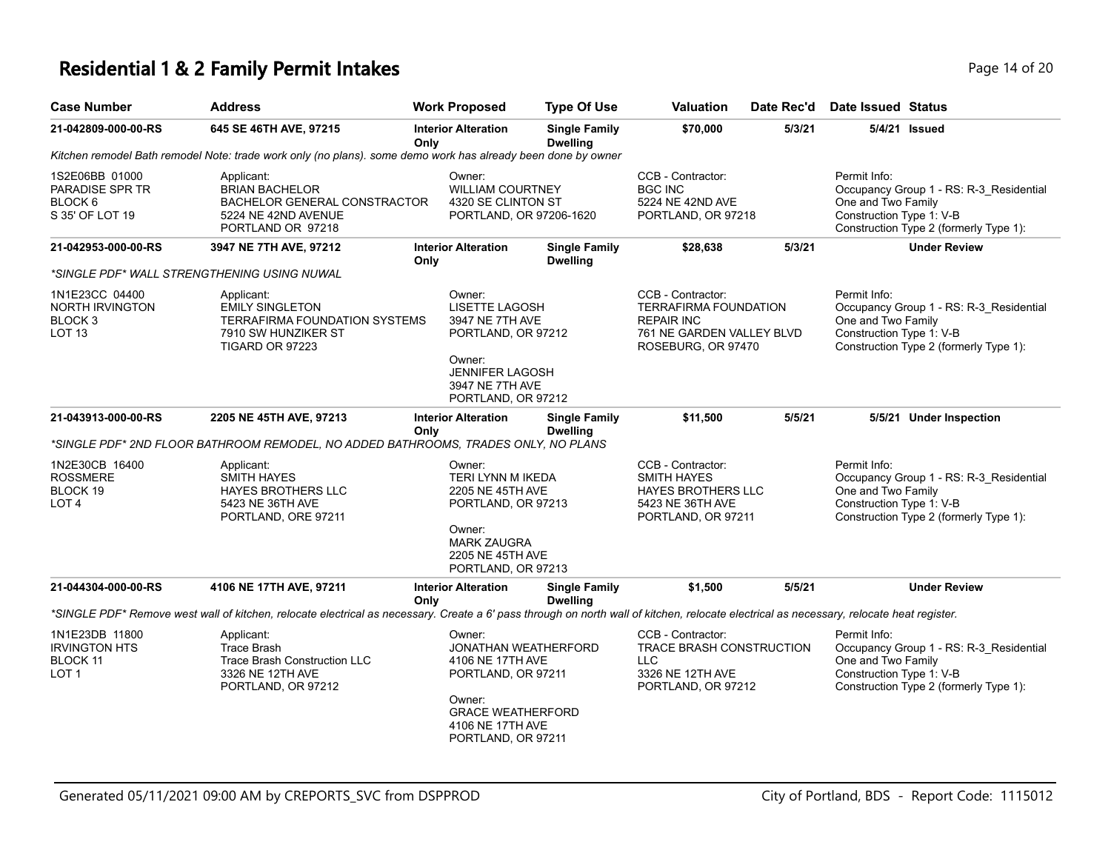## **Residential 1 & 2 Family Permit Intakes Page 14 of 20 and 20 and 20 and 20 and 20 and 20 and 20 and 20 and 20 and 20 and 20 and 20 and 20 and 20 and 20 and 20 and 20 and 20 and 20 and 20 and 20 and 20 and 20 and 20 and**

| <b>Case Number</b>                                                                  | <b>Address</b>                                                                                                                                                                           | <b>Work Proposed</b>                                                                                                                                  | <b>Type Of Use</b>                                                                                    | Valuation                                                                                                          | Date Rec'd                                      | <b>Date Issued Status</b>                                                                                                                           |
|-------------------------------------------------------------------------------------|------------------------------------------------------------------------------------------------------------------------------------------------------------------------------------------|-------------------------------------------------------------------------------------------------------------------------------------------------------|-------------------------------------------------------------------------------------------------------|--------------------------------------------------------------------------------------------------------------------|-------------------------------------------------|-----------------------------------------------------------------------------------------------------------------------------------------------------|
| 21-042809-000-00-RS                                                                 | 645 SE 46TH AVE, 97215                                                                                                                                                                   | <b>Interior Alteration</b><br>Only                                                                                                                    | <b>Single Family</b><br><b>Dwelling</b>                                                               | \$70,000                                                                                                           | 5/3/21                                          | 5/4/21 <b>Issued</b>                                                                                                                                |
|                                                                                     | Kitchen remodel Bath remodel Note: trade work only (no plans). some demo work has already been done by owner                                                                             |                                                                                                                                                       |                                                                                                       |                                                                                                                    |                                                 |                                                                                                                                                     |
| 1S2E06BB 01000<br>PARADISE SPR TR<br>BLOCK <sub>6</sub><br>S 35' OF LOT 19          | Applicant:<br><b>BRIAN BACHELOR</b><br><b>BACHELOR GENERAL CONSTRACTOR</b><br>5224 NE 42ND AVENUE<br>PORTLAND OR 97218                                                                   | Owner:<br><b>WILLIAM COURTNEY</b><br>4320 SE CLINTON ST                                                                                               | PORTLAND, OR 97206-1620                                                                               | CCB - Contractor:<br><b>BGC INC</b><br>5224 NE 42ND AVE<br>PORTLAND, OR 97218                                      |                                                 | Permit Info:<br>Occupancy Group 1 - RS: R-3 Residential<br>One and Two Family<br>Construction Type 1: V-B<br>Construction Type 2 (formerly Type 1): |
| 21-042953-000-00-RS                                                                 | 3947 NE 7TH AVE, 97212                                                                                                                                                                   | <b>Interior Alteration</b><br>Only                                                                                                                    | <b>Single Family</b><br><b>Dwelling</b>                                                               | \$28,638                                                                                                           | 5/3/21                                          | <b>Under Review</b>                                                                                                                                 |
|                                                                                     | *SINGLE PDF* WALL STRENGTHENING USING NUWAL                                                                                                                                              |                                                                                                                                                       |                                                                                                       |                                                                                                                    |                                                 |                                                                                                                                                     |
| 1N1E23CC 04400<br><b>NORTH IRVINGTON</b><br>BLOCK <sub>3</sub><br>LOT <sub>13</sub> | Applicant:<br><b>EMILY SINGLETON</b><br><b>TERRAFIRMA FOUNDATION SYSTEMS</b><br>7910 SW HUNZIKER ST<br>TIGARD OR 97223                                                                   | Owner:<br><b>LISETTE LAGOSH</b><br>3947 NE 7TH AVE<br>PORTLAND, OR 97212<br>Owner:<br><b>JENNIFER LAGOSH</b><br>3947 NE 7TH AVE<br>PORTLAND, OR 97212 |                                                                                                       | CCB - Contractor:<br>TERRAFIRMA FOUNDATION<br><b>REPAIR INC</b><br>761 NE GARDEN VALLEY BLVD<br>ROSEBURG, OR 97470 |                                                 | Permit Info:<br>Occupancy Group 1 - RS: R-3_Residential<br>One and Two Family<br>Construction Type 1: V-B<br>Construction Type 2 (formerly Type 1): |
| 21-043913-000-00-RS                                                                 | 2205 NE 45TH AVE, 97213                                                                                                                                                                  | <b>Interior Alteration</b>                                                                                                                            | <b>Single Family</b>                                                                                  | \$11,500                                                                                                           | 5/5/21                                          | 5/5/21 Under Inspection                                                                                                                             |
|                                                                                     | *SINGLE PDF* 2ND FLOOR BATHROOM REMODEL, NO ADDED BATHROOMS, TRADES ONLY, NO PLANS                                                                                                       | Only                                                                                                                                                  | <b>Dwelling</b>                                                                                       |                                                                                                                    |                                                 |                                                                                                                                                     |
| 1N2E30CB 16400<br><b>ROSSMERE</b><br>BLOCK 19<br>LOT <sub>4</sub>                   | Applicant:<br><b>SMITH HAYES</b><br><b>HAYES BROTHERS LLC</b><br>5423 NE 36TH AVE<br>PORTLAND, ORE 97211                                                                                 | Owner:<br>Owner:<br>PORTLAND, OR 97213                                                                                                                | TERI LYNN M IKEDA<br>2205 NE 45TH AVE<br>PORTLAND, OR 97213<br><b>MARK ZAUGRA</b><br>2205 NE 45TH AVE |                                                                                                                    | <b>HAYES BROTHERS LLC</b><br>PORTLAND, OR 97211 | Permit Info:<br>Occupancy Group 1 - RS: R-3_Residential<br>One and Two Family<br>Construction Type 1: V-B<br>Construction Type 2 (formerly Type 1): |
| 21-044304-000-00-RS                                                                 | 4106 NE 17TH AVE, 97211                                                                                                                                                                  | <b>Interior Alteration</b><br>Only                                                                                                                    | <b>Single Family</b><br><b>Dwelling</b>                                                               | \$1,500                                                                                                            | 5/5/21                                          | <b>Under Review</b>                                                                                                                                 |
|                                                                                     | *SINGLE PDF* Remove west wall of kitchen, relocate electrical as necessary. Create a 6' pass through on north wall of kitchen, relocate electrical as necessary, relocate heat register. |                                                                                                                                                       |                                                                                                       |                                                                                                                    |                                                 |                                                                                                                                                     |
| 1N1E23DB 11800<br><b>IRVINGTON HTS</b><br>BLOCK 11<br>LOT <sub>1</sub>              | Applicant:<br><b>Trace Brash</b><br><b>Trace Brash Construction LLC</b><br>3326 NE 12TH AVE<br>PORTLAND, OR 97212                                                                        | Owner:<br>4106 NE 17TH AVE<br>PORTLAND, OR 97211<br>Owner:<br>4106 NE 17TH AVE<br>PORTLAND, OR 97211                                                  | JONATHAN WEATHERFORD<br><b>GRACE WEATHERFORD</b>                                                      | CCB - Contractor:<br>TRACE BRASH CONSTRUCTION<br><b>LLC</b><br>3326 NE 12TH AVE<br>PORTLAND, OR 97212              |                                                 | Permit Info:<br>Occupancy Group 1 - RS: R-3_Residential<br>One and Two Family<br>Construction Type 1: V-B<br>Construction Type 2 (formerly Type 1): |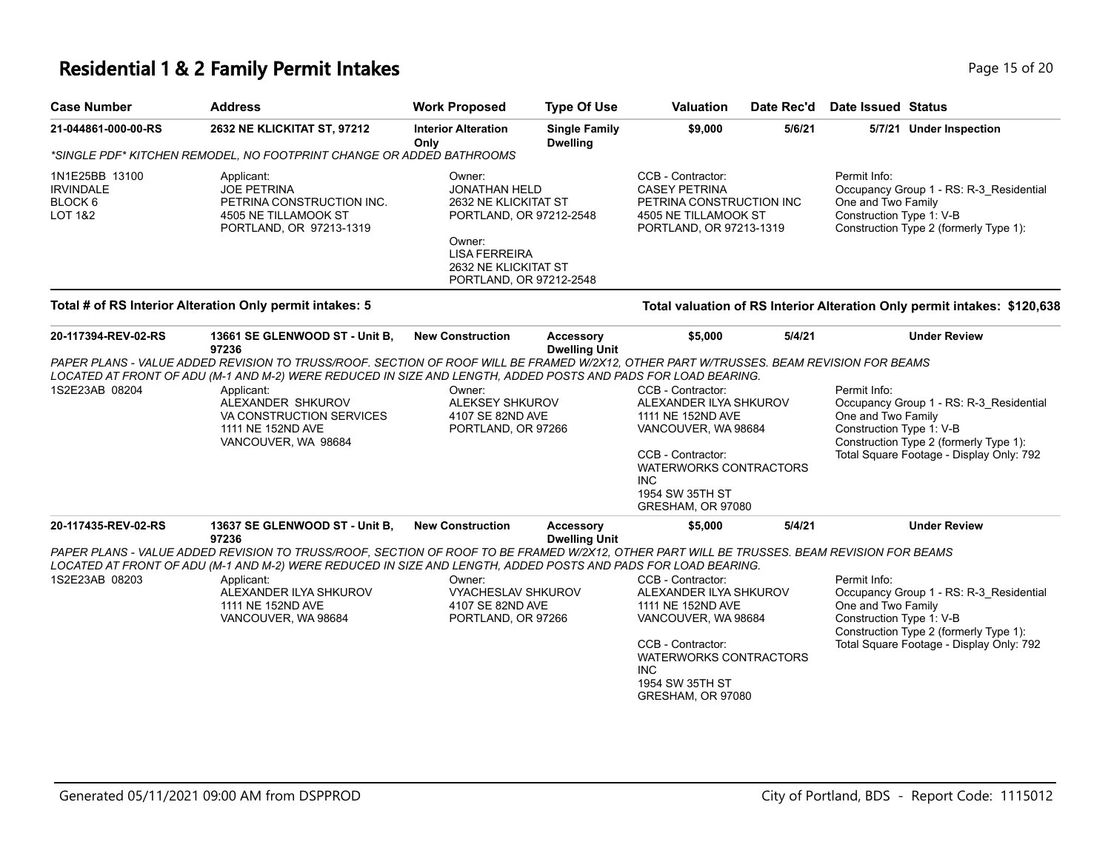#### **Residential 1 & 2 Family Permit Intakes Page 15 of 20 and 20 and 20 and 20 and 20 and 20 and 20 and 20 and 20 and 20 and 20 and 20 and 20 and 20 and 20 and 20 and 20 and 20 and 20 and 20 and 20 and 20 and 20 and 20 and**

| <b>Case Number</b>                                       | <b>Address</b>                                                                                                   | <b>Work Proposed</b>                                                                                                                                     | <b>Type Of Use</b>                      | <b>Valuation</b>                          | Date Rec'd                                                                  | Date Issued Status |                                                                                                                                                     |  |
|----------------------------------------------------------|------------------------------------------------------------------------------------------------------------------|----------------------------------------------------------------------------------------------------------------------------------------------------------|-----------------------------------------|-------------------------------------------|-----------------------------------------------------------------------------|--------------------|-----------------------------------------------------------------------------------------------------------------------------------------------------|--|
| 21-044861-000-00-RS                                      | <b>2632 NE KLICKITAT ST, 97212</b>                                                                               | <b>Interior Alteration</b><br>Only                                                                                                                       | <b>Single Family</b><br><b>Dwelling</b> | \$9,000                                   | 5/6/21                                                                      | 5/7/21             | <b>Under Inspection</b>                                                                                                                             |  |
|                                                          | *SINGLE PDF* KITCHEN REMODEL. NO FOOTPRINT CHANGE OR ADDED BATHROOMS                                             |                                                                                                                                                          |                                         |                                           |                                                                             |                    |                                                                                                                                                     |  |
| 1N1E25BB 13100<br><b>IRVINDALE</b><br>BLOCK 6<br>LOT 1&2 | Applicant:<br><b>JOE PETRINA</b><br>PETRINA CONSTRUCTION INC.<br>4505 NE TILLAMOOK ST<br>PORTLAND, OR 97213-1319 | Owner:<br>JONATHAN HELD<br>2632 NE KLICKITAT ST<br>PORTLAND, OR 97212-2548<br>Owner:<br>LISA FERREIRA<br>2632 NE KLICKITAT ST<br>PORTLAND, OR 97212-2548 |                                         | CCB - Contractor:<br><b>CASEY PETRINA</b> | PETRINA CONSTRUCTION INC<br>4505 NE TILLAMOOK ST<br>PORTLAND, OR 97213-1319 |                    | Permit Info:<br>Occupancy Group 1 - RS: R-3 Residential<br>One and Two Family<br>Construction Type 1: V-B<br>Construction Type 2 (formerly Type 1): |  |
| Total # of RS Interior Alteration Only permit intakes: 5 | Total valuation of RS Interior Alteration Only permit intakes: \$120,638                                         |                                                                                                                                                          |                                         |                                           |                                                                             |                    |                                                                                                                                                     |  |

| 20-117394-REV-02-RS | 13661 SE GLENWOOD ST - Unit B.<br>97236                                                                                                    | <b>New Construction</b>   | <b>Accessory</b><br><b>Dwelling Unit</b> | \$5,000                       | 5/4/21 | <b>Under Review</b>                      |
|---------------------|--------------------------------------------------------------------------------------------------------------------------------------------|---------------------------|------------------------------------------|-------------------------------|--------|------------------------------------------|
|                     | PAPER PLANS - VALUE ADDED REVISION TO TRUSS/ROOF. SECTION OF ROOF WILL BE FRAMED W/2X12, OTHER PART W/TRUSSES. BEAM REVISION FOR BEAMS     |                           |                                          |                               |        |                                          |
|                     | LOCATED AT FRONT OF ADU (M-1 AND M-2) WERE REDUCED IN SIZE AND LENGTH, ADDED POSTS AND PADS FOR LOAD BEARING.                              |                           |                                          |                               |        |                                          |
| 1S2E23AB 08204      | Applicant:                                                                                                                                 | Owner:                    |                                          | CCB - Contractor:             |        | Permit Info:                             |
|                     | ALEXANDER SHKUROV                                                                                                                          | <b>ALEKSEY SHKUROV</b>    |                                          | ALEXANDER ILYA SHKUROV        |        | Occupancy Group 1 - RS: R-3_Residential  |
|                     | VA CONSTRUCTION SERVICES                                                                                                                   | 4107 SE 82ND AVE          |                                          | 1111 NE 152ND AVE             |        | One and Two Family                       |
|                     | 1111 NE 152ND AVE                                                                                                                          | PORTLAND, OR 97266        |                                          | VANCOUVER, WA 98684           |        | Construction Type 1: V-B                 |
|                     | VANCOUVER, WA 98684                                                                                                                        |                           |                                          |                               |        | Construction Type 2 (formerly Type 1):   |
|                     |                                                                                                                                            |                           |                                          | CCB - Contractor:             |        | Total Square Footage - Display Only: 792 |
|                     |                                                                                                                                            |                           |                                          | <b>WATERWORKS CONTRACTORS</b> |        |                                          |
|                     |                                                                                                                                            |                           |                                          | INC.                          |        |                                          |
|                     |                                                                                                                                            |                           |                                          | 1954 SW 35TH ST               |        |                                          |
|                     |                                                                                                                                            |                           |                                          | GRESHAM, OR 97080             |        |                                          |
| 20-117435-REV-02-RS | 13637 SE GLENWOOD ST - Unit B.<br>97236                                                                                                    | <b>New Construction</b>   | Accessory<br><b>Dwelling Unit</b>        | \$5,000                       | 5/4/21 | <b>Under Review</b>                      |
|                     | PAPER PLANS - VALUE ADDED REVISION TO TRUSS/ROOF, SECTION OF ROOF TO BE FRAMED W/2X12, OTHER PART WILL BE TRUSSES. BEAM REVISION FOR BEAMS |                           |                                          |                               |        |                                          |
|                     | LOCATED AT FRONT OF ADU (M-1 AND M-2) WERE REDUCED IN SIZE AND LENGTH, ADDED POSTS AND PADS FOR LOAD BEARING.                              |                           |                                          |                               |        |                                          |
| 1S2E23AB 08203      | Applicant:                                                                                                                                 | Owner:                    |                                          | CCB - Contractor:             |        | Permit Info:                             |
|                     | ALEXANDER ILYA SHKUROV                                                                                                                     | <b>VYACHESLAV SHKUROV</b> |                                          | ALEXANDER ILYA SHKUROV        |        | Occupancy Group 1 - RS: R-3 Residential  |
|                     | 1111 NE 152ND AVE                                                                                                                          | 4107 SE 82ND AVE          |                                          | 1111 NE 152ND AVE             |        | One and Two Family                       |
|                     | VANCOUVER, WA 98684                                                                                                                        | PORTLAND, OR 97266        |                                          | VANCOUVER, WA 98684           |        | Construction Type 1: V-B                 |
|                     |                                                                                                                                            |                           |                                          |                               |        | Construction Type 2 (formerly Type 1):   |
|                     |                                                                                                                                            |                           |                                          | CCB - Contractor:             |        | Total Square Footage - Display Only: 792 |
|                     |                                                                                                                                            |                           |                                          | <b>WATERWORKS CONTRACTORS</b> |        |                                          |
|                     |                                                                                                                                            |                           |                                          | INC.                          |        |                                          |
|                     |                                                                                                                                            |                           |                                          | 1954 SW 35TH ST               |        |                                          |
|                     |                                                                                                                                            |                           |                                          | GRESHAM, OR 97080             |        |                                          |
|                     |                                                                                                                                            |                           |                                          |                               |        |                                          |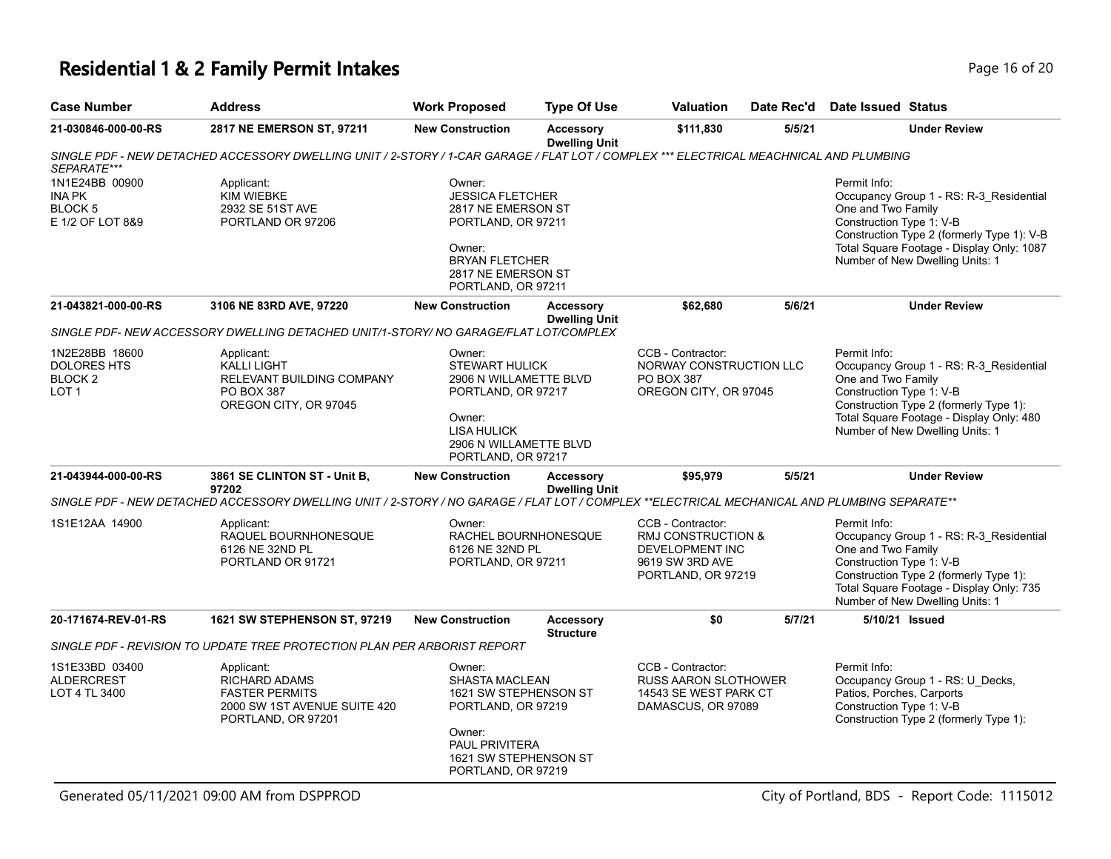# **Residential 1 & 2 Family Permit Intakes Page 16 of 20 Page 16 of 20**

| <b>Case Number</b>                                                             | <b>Address</b>                                                                                                                               | <b>Work Proposed</b>                                                                                                                                            | <b>Type Of Use</b>                       | <b>Valuation</b>                                                                                    | Date Rec'd | Date Issued Status                                                                                                                                                                                                                      |
|--------------------------------------------------------------------------------|----------------------------------------------------------------------------------------------------------------------------------------------|-----------------------------------------------------------------------------------------------------------------------------------------------------------------|------------------------------------------|-----------------------------------------------------------------------------------------------------|------------|-----------------------------------------------------------------------------------------------------------------------------------------------------------------------------------------------------------------------------------------|
| 21-030846-000-00-RS                                                            | 2817 NE EMERSON ST, 97211                                                                                                                    | <b>New Construction</b>                                                                                                                                         | <b>Accessory</b><br><b>Dwelling Unit</b> | \$111,830                                                                                           | 5/5/21     | <b>Under Review</b>                                                                                                                                                                                                                     |
|                                                                                | SINGLE PDF - NEW DETACHED ACCESSORY DWELLING UNIT / 2-STORY / 1-CAR GARAGE / FLAT LOT / COMPLEX *** ELECTRICAL MEACHNICAL AND PLUMBING       |                                                                                                                                                                 |                                          |                                                                                                     |            |                                                                                                                                                                                                                                         |
| SEPARATE***<br>1N1E24BB 00900<br><b>INA PK</b><br>BLOCK 5<br>E 1/2 OF LOT 8&9  | Applicant:<br><b>KIM WIEBKE</b><br>2932 SE 51ST AVE<br>PORTLAND OR 97206                                                                     | Owner:<br><b>JESSICA FLETCHER</b><br>2817 NE EMERSON ST<br>PORTLAND, OR 97211<br>Owner:<br><b>BRYAN FLETCHER</b><br>2817 NE EMERSON ST<br>PORTLAND, OR 97211    |                                          |                                                                                                     |            | Permit Info:<br>Occupancy Group 1 - RS: R-3_Residential<br>One and Two Family<br>Construction Type 1: V-B<br>Construction Type 2 (formerly Type 1): V-B<br>Total Square Footage - Display Only: 1087<br>Number of New Dwelling Units: 1 |
| 21-043821-000-00-RS                                                            | 3106 NE 83RD AVE, 97220                                                                                                                      | <b>New Construction</b>                                                                                                                                         | <b>Accessory</b><br><b>Dwelling Unit</b> | \$62,680                                                                                            | 5/6/21     | <b>Under Review</b>                                                                                                                                                                                                                     |
|                                                                                | SINGLE PDF- NEW ACCESSORY DWELLING DETACHED UNIT/1-STORY/ NO GARAGE/FLAT LOT/COMPLEX                                                         |                                                                                                                                                                 |                                          |                                                                                                     |            |                                                                                                                                                                                                                                         |
| 1N2E28BB 18600<br><b>DOLORES HTS</b><br>BLOCK <sub>2</sub><br>LOT <sub>1</sub> | Applicant:<br><b>KALLI LIGHT</b><br>RELEVANT BUILDING COMPANY<br><b>PO BOX 387</b><br>OREGON CITY, OR 97045                                  | Owner:<br><b>STEWART HULICK</b><br>2906 N WILLAMETTE BLVD<br>PORTLAND, OR 97217<br>Owner:<br><b>LISA HULICK</b><br>2906 N WILLAMETTE BLVD<br>PORTLAND, OR 97217 |                                          | CCB - Contractor:<br>NORWAY CONSTRUCTION LLC<br>PO BOX 387<br>OREGON CITY, OR 97045                 |            | Permit Info:<br>Occupancy Group 1 - RS: R-3_Residential<br>One and Two Family<br>Construction Type 1: V-B<br>Construction Type 2 (formerly Type 1):<br>Total Square Footage - Display Only: 480<br>Number of New Dwelling Units: 1      |
| 21-043944-000-00-RS                                                            | 3861 SE CLINTON ST - Unit B,<br>97202                                                                                                        | <b>New Construction</b>                                                                                                                                         | <b>Accessory</b><br><b>Dwelling Unit</b> | \$95,979                                                                                            | 5/5/21     | <b>Under Review</b>                                                                                                                                                                                                                     |
|                                                                                | SINGLE PDF - NEW DETACHED ACCESSORY DWELLING UNIT / 2-STORY / NO GARAGE / FLAT LOT / COMPLEX **ELECTRICAL MECHANICAL AND PLUMBING SEPARATE** |                                                                                                                                                                 |                                          |                                                                                                     |            |                                                                                                                                                                                                                                         |
| 1S1E12AA 14900                                                                 | Applicant:<br>RAQUEL BOURNHONESQUE<br>6126 NE 32ND PL<br>PORTLAND OR 91721                                                                   | Owner:<br>RACHEL BOURNHONESQUE<br>6126 NE 32ND PL<br>PORTLAND, OR 97211                                                                                         |                                          | CCB - Contractor:<br>RMJ CONSTRUCTION &<br>DEVELOPMENT INC<br>9619 SW 3RD AVE<br>PORTLAND, OR 97219 |            | Permit Info:<br>Occupancy Group 1 - RS: R-3_Residential<br>One and Two Family<br>Construction Type 1: V-B<br>Construction Type 2 (formerly Type 1):<br>Total Square Footage - Display Only: 735<br>Number of New Dwelling Units: 1      |
| 20-171674-REV-01-RS                                                            | 1621 SW STEPHENSON ST, 97219                                                                                                                 | <b>New Construction</b>                                                                                                                                         | <b>Accessory</b><br><b>Structure</b>     | \$0                                                                                                 | 5/7/21     | 5/10/21 Issued                                                                                                                                                                                                                          |
|                                                                                | SINGLE PDF - REVISION TO UPDATE TREE PROTECTION PLAN PER ARBORIST REPORT                                                                     |                                                                                                                                                                 |                                          |                                                                                                     |            |                                                                                                                                                                                                                                         |
| 1S1E33BD 03400<br><b>ALDERCREST</b><br>LOT 4 TL 3400                           | Applicant:<br><b>RICHARD ADAMS</b><br><b>FASTER PERMITS</b><br>2000 SW 1ST AVENUE SUITE 420<br>PORTLAND, OR 97201                            | Owner:<br><b>SHASTA MACLEAN</b><br>1621 SW STEPHENSON ST<br>PORTLAND, OR 97219<br>Owner:<br>PAUL PRIVITERA<br>1621 SW STEPHENSON ST<br>PORTLAND, OR 97219       |                                          | CCB - Contractor:<br><b>RUSS AARON SLOTHOWER</b><br>14543 SE WEST PARK CT<br>DAMASCUS, OR 97089     |            | Permit Info:<br>Occupancy Group 1 - RS: U_Decks,<br>Patios, Porches, Carports<br>Construction Type 1: V-B<br>Construction Type 2 (formerly Type 1):                                                                                     |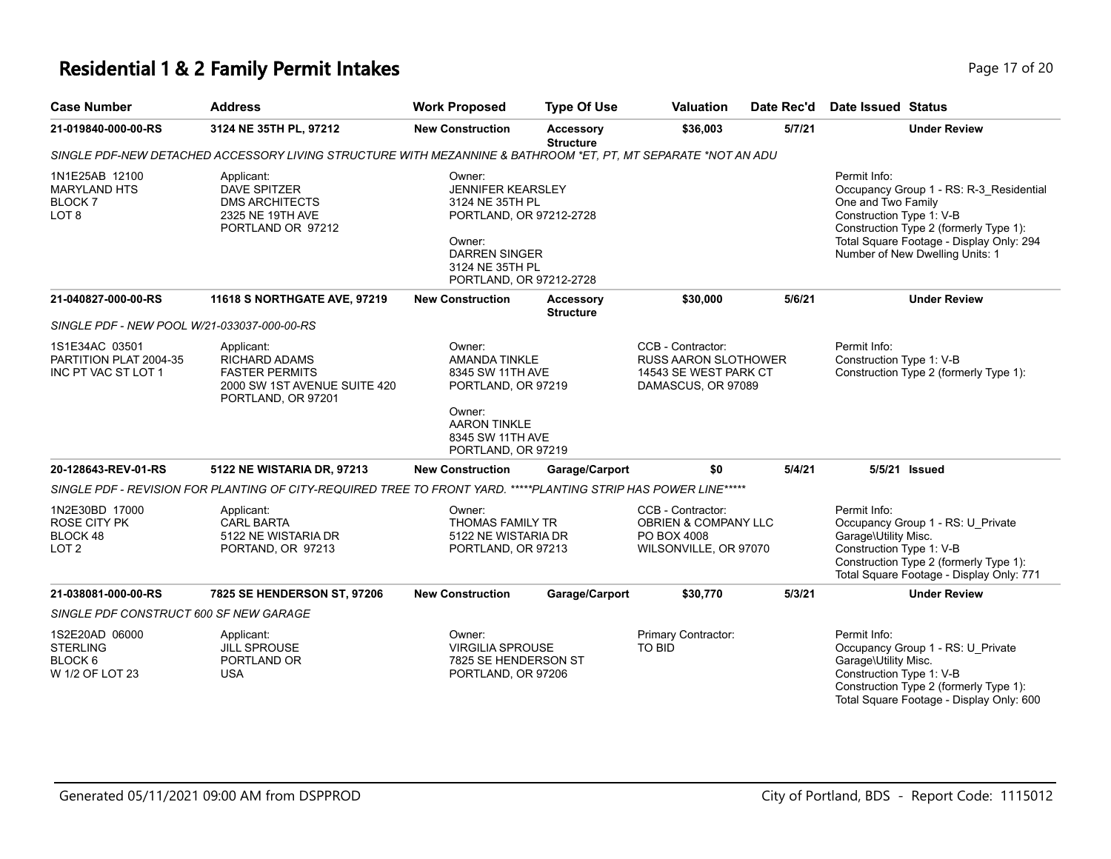## **Residential 1 & 2 Family Permit Intakes Page 17 of 20 and 20 and 20 and 20 and 20 and 20 and 20 and 20 and 20 and 20 and 20 and 20 and 20 and 20 and 20 and 20 and 20 and 20 and 20 and 20 and 20 and 20 and 20 and 20 and**

| <b>Case Number</b>                                                         | <b>Address</b>                                                                                                    | <b>Work Proposed</b>                                                                                                                                             | <b>Type Of Use</b>                   | <b>Valuation</b>                                                                                | Date Rec'd | Date Issued Status                                                                                                                                                                                                                 |
|----------------------------------------------------------------------------|-------------------------------------------------------------------------------------------------------------------|------------------------------------------------------------------------------------------------------------------------------------------------------------------|--------------------------------------|-------------------------------------------------------------------------------------------------|------------|------------------------------------------------------------------------------------------------------------------------------------------------------------------------------------------------------------------------------------|
| 21-019840-000-00-RS                                                        | 3124 NE 35TH PL, 97212                                                                                            | <b>New Construction</b>                                                                                                                                          | <b>Accessory</b><br><b>Structure</b> | \$36,003                                                                                        | 5/7/21     | <b>Under Review</b>                                                                                                                                                                                                                |
|                                                                            | SINGLE PDF-NEW DETACHED ACCESSORY LIVING STRUCTURE WITH MEZANNINE & BATHROOM *ET, PT, MT SEPARATE *NOT AN ADU     |                                                                                                                                                                  |                                      |                                                                                                 |            |                                                                                                                                                                                                                                    |
| 1N1E25AB 12100<br><b>MARYLAND HTS</b><br><b>BLOCK7</b><br>LOT <sub>8</sub> | Applicant:<br><b>DAVE SPITZER</b><br><b>DMS ARCHITECTS</b><br>2325 NE 19TH AVE<br>PORTLAND OR 97212               | Owner:<br><b>JENNIFER KEARSLEY</b><br>3124 NE 35TH PL<br>PORTLAND, OR 97212-2728<br>Owner:<br><b>DARREN SINGER</b><br>3124 NE 35TH PL<br>PORTLAND, OR 97212-2728 |                                      |                                                                                                 |            | Permit Info:<br>Occupancy Group 1 - RS: R-3_Residential<br>One and Two Family<br>Construction Type 1: V-B<br>Construction Type 2 (formerly Type 1):<br>Total Square Footage - Display Only: 294<br>Number of New Dwelling Units: 1 |
| 21-040827-000-00-RS                                                        | 11618 S NORTHGATE AVE, 97219                                                                                      | <b>New Construction</b>                                                                                                                                          | <b>Accessory</b>                     | \$30,000                                                                                        | 5/6/21     | <b>Under Review</b>                                                                                                                                                                                                                |
| SINGLE PDF - NEW POOL W/21-033037-000-00-RS                                |                                                                                                                   |                                                                                                                                                                  | <b>Structure</b>                     |                                                                                                 |            |                                                                                                                                                                                                                                    |
| 1S1E34AC 03501<br>PARTITION PLAT 2004-35<br>INC PT VAC ST LOT 1            | Applicant:<br><b>RICHARD ADAMS</b><br><b>FASTER PERMITS</b><br>2000 SW 1ST AVENUE SUITE 420<br>PORTLAND, OR 97201 | Owner:<br><b>AMANDA TINKLE</b><br>8345 SW 11TH AVE<br>PORTLAND, OR 97219<br>Owner:<br><b>AARON TINKLE</b><br>8345 SW 11TH AVE<br>PORTLAND, OR 97219              |                                      | CCB - Contractor:<br><b>RUSS AARON SLOTHOWER</b><br>14543 SE WEST PARK CT<br>DAMASCUS, OR 97089 |            | Permit Info:<br>Construction Type 1: V-B<br>Construction Type 2 (formerly Type 1):                                                                                                                                                 |
| 20-128643-REV-01-RS                                                        | 5122 NE WISTARIA DR, 97213                                                                                        | <b>New Construction</b>                                                                                                                                          | Garage/Carport                       | \$0                                                                                             | 5/4/21     | 5/5/21 Issued                                                                                                                                                                                                                      |
|                                                                            | SINGLE PDF - REVISION FOR PLANTING OF CITY-REQUIRED TREE TO FRONT YARD. *****PLANTING STRIP HAS POWER LINE*****   |                                                                                                                                                                  |                                      |                                                                                                 |            |                                                                                                                                                                                                                                    |
| 1N2E30BD 17000<br><b>ROSE CITY PK</b><br>BLOCK 48<br>LOT <sub>2</sub>      | Applicant:<br><b>CARL BARTA</b><br>5122 NE WISTARIA DR<br>PORTAND, OR 97213                                       | Owner:<br>THOMAS FAMILY TR<br>5122 NE WISTARIA DR<br>PORTLAND, OR 97213                                                                                          |                                      | CCB - Contractor:<br>OBRIEN & COMPANY LLC<br>PO BOX 4008<br>WILSONVILLE, OR 97070               |            | Permit Info:<br>Occupancy Group 1 - RS: U_Private<br>Garage\Utility Misc.<br>Construction Type 1: V-B<br>Construction Type 2 (formerly Type 1):<br>Total Square Footage - Display Only: 771                                        |
| 21-038081-000-00-RS                                                        | 7825 SE HENDERSON ST, 97206                                                                                       | <b>New Construction</b>                                                                                                                                          | Garage/Carport                       | \$30,770                                                                                        | 5/3/21     | <b>Under Review</b>                                                                                                                                                                                                                |
| SINGLE PDF CONSTRUCT 600 SF NEW GARAGE                                     |                                                                                                                   |                                                                                                                                                                  |                                      |                                                                                                 |            |                                                                                                                                                                                                                                    |
| 1S2E20AD 06000<br><b>STERLING</b><br>BLOCK 6<br>W 1/2 OF LOT 23            | Applicant:<br><b>JILL SPROUSE</b><br>PORTLAND OR<br><b>USA</b>                                                    | Owner:<br><b>VIRGILIA SPROUSE</b><br>7825 SE HENDERSON ST<br>PORTLAND, OR 97206                                                                                  |                                      | Primary Contractor:<br><b>TO BID</b>                                                            |            | Permit Info:<br>Occupancy Group 1 - RS: U_Private<br>Garage\Utility Misc.<br>Construction Type 1: V-B<br>Construction Type 2 (formerly Type 1):<br>Total Square Footage - Display Only: 600                                        |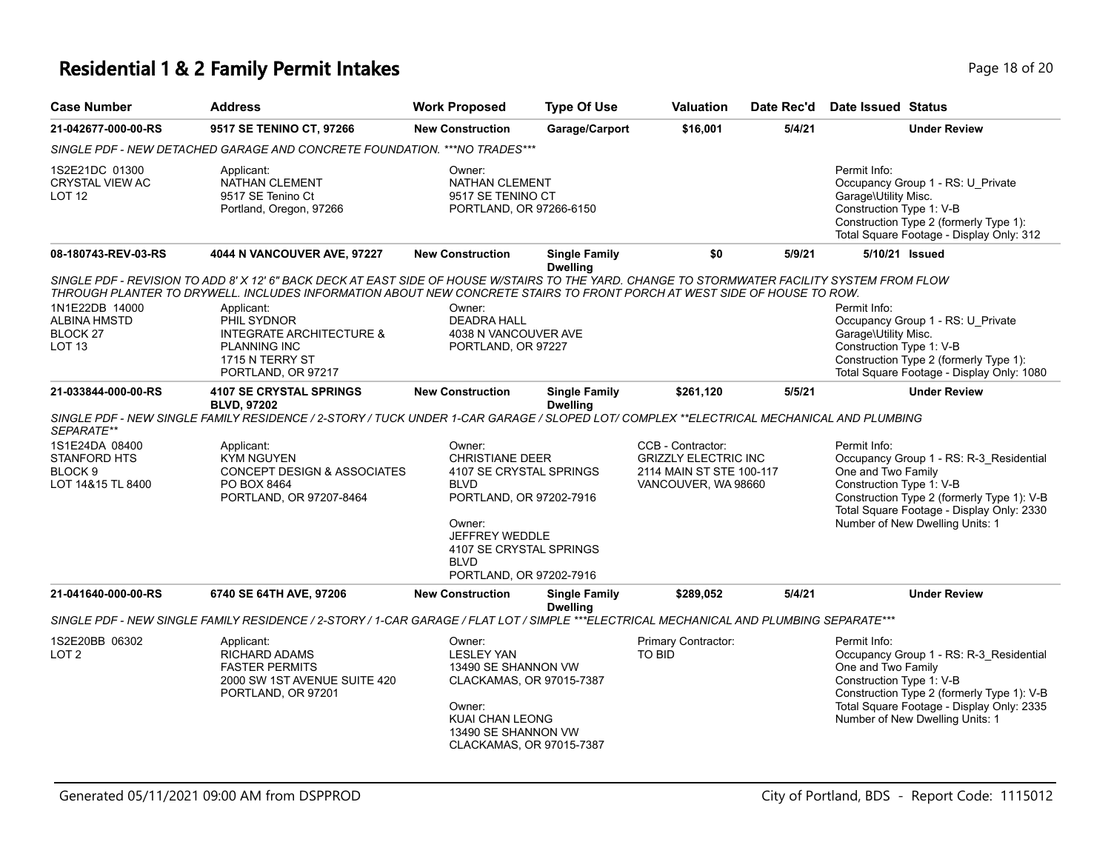## **Residential 1 & 2 Family Permit Intakes Page 18 of 20 and 20 and 20 and 20 and 20 and 20 and 20 and 20 and 20 and 20 and 20 and 20 and 20 and 20 and 20 and 20 and 20 and 20 and 20 and 20 and 20 and 20 and 20 and 20 and**

| <b>Case Number</b>                                                               | <b>Address</b>                                                                                                                                                                                                                                                                                        | <b>Work Proposed</b>                                                                                                                                                                                   | <b>Type Of Use</b>                      | Valuation                                                                                           | Date Rec'd | <b>Date Issued Status</b>                                                                                                                                                                                                               |
|----------------------------------------------------------------------------------|-------------------------------------------------------------------------------------------------------------------------------------------------------------------------------------------------------------------------------------------------------------------------------------------------------|--------------------------------------------------------------------------------------------------------------------------------------------------------------------------------------------------------|-----------------------------------------|-----------------------------------------------------------------------------------------------------|------------|-----------------------------------------------------------------------------------------------------------------------------------------------------------------------------------------------------------------------------------------|
| 21-042677-000-00-RS                                                              | 9517 SE TENINO CT, 97266                                                                                                                                                                                                                                                                              | <b>New Construction</b>                                                                                                                                                                                | Garage/Carport                          | \$16,001                                                                                            | 5/4/21     | <b>Under Review</b>                                                                                                                                                                                                                     |
|                                                                                  | SINGLE PDF - NEW DETACHED GARAGE AND CONCRETE FOUNDATION. *** NO TRADES***                                                                                                                                                                                                                            |                                                                                                                                                                                                        |                                         |                                                                                                     |            |                                                                                                                                                                                                                                         |
| 1S2E21DC 01300<br><b>CRYSTAL VIEW AC</b><br>LOT <sub>12</sub>                    | Applicant:<br>NATHAN CLEMENT<br>9517 SE Tenino Ct<br>Portland, Oregon, 97266                                                                                                                                                                                                                          | Owner:<br>NATHAN CLEMENT<br>9517 SE TENINO CT<br>PORTLAND, OR 97266-6150                                                                                                                               |                                         |                                                                                                     |            | Permit Info:<br>Occupancy Group 1 - RS: U_Private<br>Garage\Utility Misc.<br>Construction Type 1: V-B<br>Construction Type 2 (formerly Type 1):<br>Total Square Footage - Display Only: 312                                             |
| 08-180743-REV-03-RS                                                              | <b>4044 N VANCOUVER AVE, 97227</b>                                                                                                                                                                                                                                                                    | <b>New Construction</b>                                                                                                                                                                                | <b>Single Family</b><br><b>Dwelling</b> | \$0                                                                                                 | 5/9/21     | 5/10/21 Issued                                                                                                                                                                                                                          |
| 1N1E22DB 14000<br><b>ALBINA HMSTD</b>                                            | SINGLE PDF - REVISION TO ADD 8' X 12' 6" BACK DECK AT EAST SIDE OF HOUSE W/STAIRS TO THE YARD. CHANGE TO STORMWATER FACILITY SYSTEM FROM FLOW<br>THROUGH PLANTER TO DRYWELL. INCLUDES INFORMATION ABOUT NEW CONCRETE STAIRS TO FRONT PORCH AT WEST SIDE OF HOUSE TO ROW.<br>Applicant:<br>PHIL SYDNOR | Owner:<br><b>DEADRA HALL</b>                                                                                                                                                                           |                                         |                                                                                                     |            | Permit Info:<br>Occupancy Group 1 - RS: U_Private                                                                                                                                                                                       |
| BLOCK <sub>27</sub><br><b>LOT 13</b>                                             | <b>INTEGRATE ARCHITECTURE &amp;</b><br><b>PLANNING INC</b><br>1715 N TERRY ST<br>PORTLAND, OR 97217                                                                                                                                                                                                   | 4038 N VANCOUVER AVE<br>PORTLAND, OR 97227                                                                                                                                                             |                                         |                                                                                                     |            | Garage\Utility Misc.<br>Construction Type 1: V-B<br>Construction Type 2 (formerly Type 1):<br>Total Square Footage - Display Only: 1080                                                                                                 |
| 21-033844-000-00-RS                                                              | <b>4107 SE CRYSTAL SPRINGS</b><br><b>BLVD, 97202</b>                                                                                                                                                                                                                                                  | <b>New Construction</b>                                                                                                                                                                                | <b>Single Family</b><br><b>Dwelling</b> | \$261,120                                                                                           | 5/5/21     | <b>Under Review</b>                                                                                                                                                                                                                     |
| SEPARATE**                                                                       | SINGLE PDF - NEW SINGLE FAMILY RESIDENCE / 2-STORY / TUCK UNDER 1-CAR GARAGE / SLOPED LOT/ COMPLEX **ELECTRICAL MECHANICAL AND PLUMBING                                                                                                                                                               |                                                                                                                                                                                                        |                                         |                                                                                                     |            |                                                                                                                                                                                                                                         |
| 1S1E24DA 08400<br><b>STANFORD HTS</b><br>BLOCK <sub>9</sub><br>LOT 14&15 TL 8400 | Applicant:<br><b>KYM NGUYEN</b><br><b>CONCEPT DESIGN &amp; ASSOCIATES</b><br>PO BOX 8464<br>PORTLAND, OR 97207-8464                                                                                                                                                                                   | Owner:<br><b>CHRISTIANE DEER</b><br>4107 SE CRYSTAL SPRINGS<br><b>BLVD</b><br>PORTLAND, OR 97202-7916<br>Owner:<br>JEFFREY WEDDLE<br>4107 SE CRYSTAL SPRINGS<br><b>BLVD</b><br>PORTLAND, OR 97202-7916 |                                         | CCB - Contractor:<br><b>GRIZZLY ELECTRIC INC</b><br>2114 MAIN ST STE 100-117<br>VANCOUVER, WA 98660 |            | Permit Info:<br>Occupancy Group 1 - RS: R-3_Residential<br>One and Two Family<br>Construction Type 1: V-B<br>Construction Type 2 (formerly Type 1): V-B<br>Total Square Footage - Display Only: 2330<br>Number of New Dwelling Units: 1 |
| 21-041640-000-00-RS                                                              | 6740 SE 64TH AVE, 97206                                                                                                                                                                                                                                                                               | <b>New Construction</b>                                                                                                                                                                                | <b>Single Family</b><br><b>Dwelling</b> | \$289,052                                                                                           | 5/4/21     | <b>Under Review</b>                                                                                                                                                                                                                     |
|                                                                                  | SINGLE PDF - NEW SINGLE FAMILY RESIDENCE / 2-STORY / 1-CAR GARAGE / FLAT LOT / SIMPLE ***ELECTRICAL MECHANICAL AND PLUMBING SEPARATE***                                                                                                                                                               |                                                                                                                                                                                                        |                                         |                                                                                                     |            |                                                                                                                                                                                                                                         |
| 1S2E20BB 06302<br>LOT <sub>2</sub>                                               | Applicant:<br><b>RICHARD ADAMS</b><br><b>FASTER PERMITS</b><br>2000 SW 1ST AVENUE SUITE 420<br>PORTLAND, OR 97201                                                                                                                                                                                     | Owner:<br><b>LESLEY YAN</b><br>13490 SE SHANNON VW<br>CLACKAMAS, OR 97015-7387<br>Owner:<br>KUAI CHAN LEONG<br>13490 SE SHANNON VW<br>CLACKAMAS, OR 97015-7387                                         |                                         | Primary Contractor:<br>TO BID                                                                       |            | Permit Info:<br>Occupancy Group 1 - RS: R-3_Residential<br>One and Two Family<br>Construction Type 1: V-B<br>Construction Type 2 (formerly Type 1): V-B<br>Total Square Footage - Display Only: 2335<br>Number of New Dwelling Units: 1 |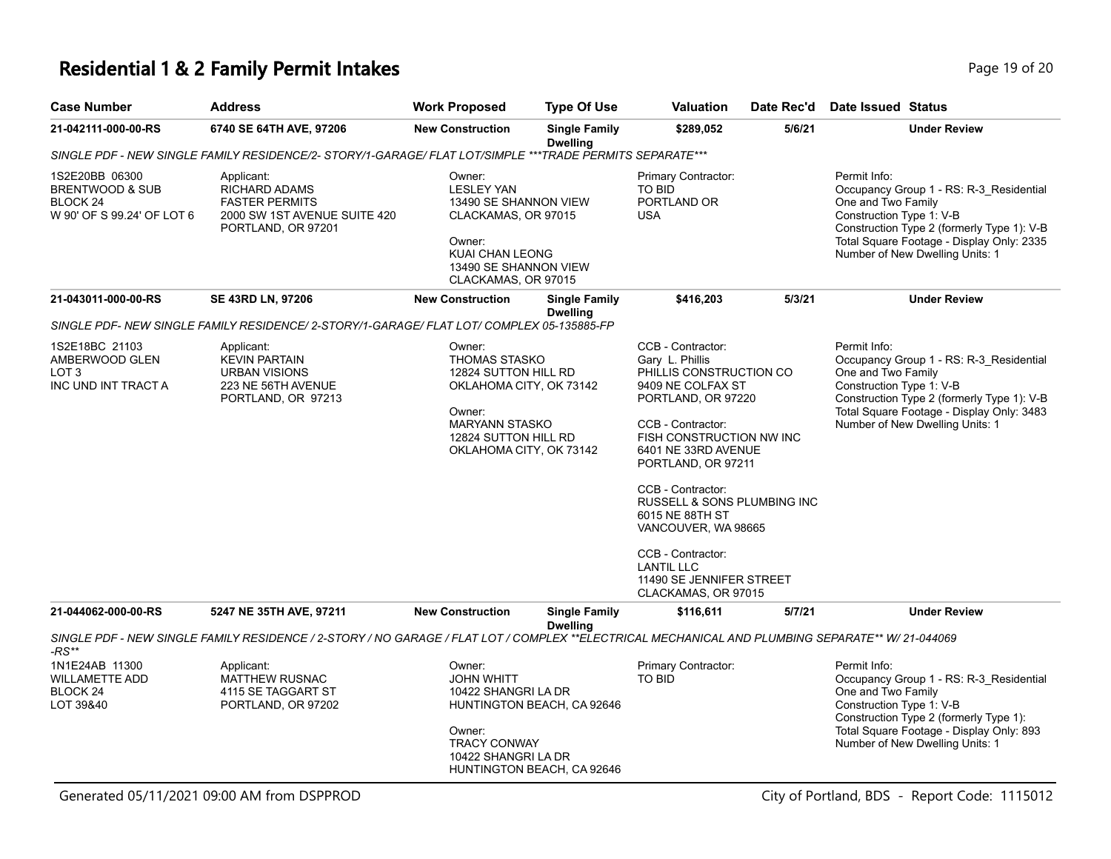## **Residential 1 & 2 Family Permit Intakes Page 19 of 20 and 20 and 20 and 20 and 20 and 20 and 20 and 20 and 20 and 20 and 20 and 20 and 20 and 20 and 20 and 20 and 20 and 20 and 20 and 20 and 20 and 20 and 20 and 20 and**

| <b>Case Number</b>                                                                     | <b>Address</b>                                                                                                                                   | <b>Work Proposed</b>                                                                                                                                                    | <b>Type Of Use</b>                                       | <b>Valuation</b>                                                                                                                                                                                                                                                                                                                                                                                               | Date Rec'd | <b>Date Issued Status</b>                                                                                                                                                                                                               |
|----------------------------------------------------------------------------------------|--------------------------------------------------------------------------------------------------------------------------------------------------|-------------------------------------------------------------------------------------------------------------------------------------------------------------------------|----------------------------------------------------------|----------------------------------------------------------------------------------------------------------------------------------------------------------------------------------------------------------------------------------------------------------------------------------------------------------------------------------------------------------------------------------------------------------------|------------|-----------------------------------------------------------------------------------------------------------------------------------------------------------------------------------------------------------------------------------------|
| 21-042111-000-00-RS                                                                    | 6740 SE 64TH AVE, 97206                                                                                                                          | <b>New Construction</b>                                                                                                                                                 | <b>Single Family</b><br><b>Dwelling</b>                  | \$289,052                                                                                                                                                                                                                                                                                                                                                                                                      | 5/6/21     | <b>Under Review</b>                                                                                                                                                                                                                     |
|                                                                                        | SINGLE PDF - NEW SINGLE FAMILY RESIDENCE/2- STORY/1-GARAGE/ FLAT LOT/SIMPLE ***TRADE PERMITS SEPARATE***                                         |                                                                                                                                                                         |                                                          |                                                                                                                                                                                                                                                                                                                                                                                                                |            |                                                                                                                                                                                                                                         |
| 1S2E20BB 06300<br>BRENTWOOD & SUB<br>BLOCK <sub>24</sub><br>W 90' OF S 99.24' OF LOT 6 | Applicant:<br><b>RICHARD ADAMS</b><br><b>FASTER PERMITS</b><br>2000 SW 1ST AVENUE SUITE 420<br>PORTLAND, OR 97201                                | Owner:<br><b>LESLEY YAN</b><br>13490 SE SHANNON VIEW<br>CLACKAMAS, OR 97015<br>Owner:<br><b>KUAI CHAN LEONG</b><br>13490 SE SHANNON VIEW<br>CLACKAMAS, OR 97015         |                                                          | Primary Contractor:<br>TO BID<br>PORTLAND OR<br><b>USA</b>                                                                                                                                                                                                                                                                                                                                                     |            | Permit Info:<br>Occupancy Group 1 - RS: R-3_Residential<br>One and Two Family<br>Construction Type 1: V-B<br>Construction Type 2 (formerly Type 1): V-B<br>Total Square Footage - Display Only: 2335<br>Number of New Dwelling Units: 1 |
| 21-043011-000-00-RS                                                                    | SE 43RD LN, 97206                                                                                                                                | <b>New Construction</b>                                                                                                                                                 | <b>Single Family</b><br><b>Dwelling</b>                  | \$416,203                                                                                                                                                                                                                                                                                                                                                                                                      | 5/3/21     | <b>Under Review</b>                                                                                                                                                                                                                     |
|                                                                                        | SINGLE PDF- NEW SINGLE FAMILY RESIDENCE/ 2-STORY/1-GARAGE/ FLAT LOT/ COMPLEX 05-135885-FP                                                        |                                                                                                                                                                         |                                                          |                                                                                                                                                                                                                                                                                                                                                                                                                |            |                                                                                                                                                                                                                                         |
| 1S2E18BC 21103<br>AMBERWOOD GLEN<br>LOT <sub>3</sub><br>INC UND INT TRACT A            | Applicant:<br><b>KEVIN PARTAIN</b><br><b>URBAN VISIONS</b><br>223 NE 56TH AVENUE<br>PORTLAND, OR 97213                                           | Owner:<br><b>THOMAS STASKO</b><br>12824 SUTTON HILL RD<br>OKLAHOMA CITY, OK 73142<br>Owner:<br><b>MARYANN STASKO</b><br>12824 SUTTON HILL RD<br>OKLAHOMA CITY, OK 73142 |                                                          | CCB - Contractor:<br>Gary L. Phillis<br>PHILLIS CONSTRUCTION CO<br>9409 NE COLFAX ST<br>PORTLAND, OR 97220<br>CCB - Contractor:<br>FISH CONSTRUCTION NW INC<br>6401 NE 33RD AVENUE<br>PORTLAND, OR 97211<br>CCB - Contractor:<br><b>RUSSELL &amp; SONS PLUMBING INC</b><br>6015 NE 88TH ST<br>VANCOUVER, WA 98665<br>CCB - Contractor:<br><b>LANTIL LLC</b><br>11490 SE JENNIFER STREET<br>CLACKAMAS, OR 97015 |            | Permit Info:<br>Occupancy Group 1 - RS: R-3_Residential<br>One and Two Family<br>Construction Type 1: V-B<br>Construction Type 2 (formerly Type 1): V-B<br>Total Square Footage - Display Only: 3483<br>Number of New Dwelling Units: 1 |
| 21-044062-000-00-RS                                                                    | 5247 NE 35TH AVE, 97211                                                                                                                          | <b>New Construction</b>                                                                                                                                                 | <b>Single Family</b>                                     | \$116,611                                                                                                                                                                                                                                                                                                                                                                                                      | 5/7/21     | <b>Under Review</b>                                                                                                                                                                                                                     |
| -RS**                                                                                  | SINGLE PDF - NEW SINGLE FAMILY RESIDENCE / 2-STORY / NO GARAGE / FLAT LOT / COMPLEX **ELECTRICAL MECHANICAL AND PLUMBING SEPARATE** W/ 21-044069 |                                                                                                                                                                         | <b>Dwelling</b>                                          |                                                                                                                                                                                                                                                                                                                                                                                                                |            |                                                                                                                                                                                                                                         |
| 1N1E24AB 11300<br><b>WILLAMETTE ADD</b><br>BLOCK <sub>24</sub><br>LOT 39&40            | Applicant:<br><b>MATTHEW RUSNAC</b><br>4115 SE TAGGART ST<br>PORTLAND, OR 97202                                                                  | Owner:<br><b>JOHN WHITT</b><br>10422 SHANGRI LA DR<br>Owner:<br><b>TRACY CONWAY</b><br>10422 SHANGRI LA DR                                                              | HUNTINGTON BEACH, CA 92646<br>HUNTINGTON BEACH, CA 92646 | Primary Contractor:<br>TO BID                                                                                                                                                                                                                                                                                                                                                                                  |            | Permit Info:<br>Occupancy Group 1 - RS: R-3_Residential<br>One and Two Family<br>Construction Type 1: V-B<br>Construction Type 2 (formerly Type 1):<br>Total Square Footage - Display Only: 893<br>Number of New Dwelling Units: 1      |